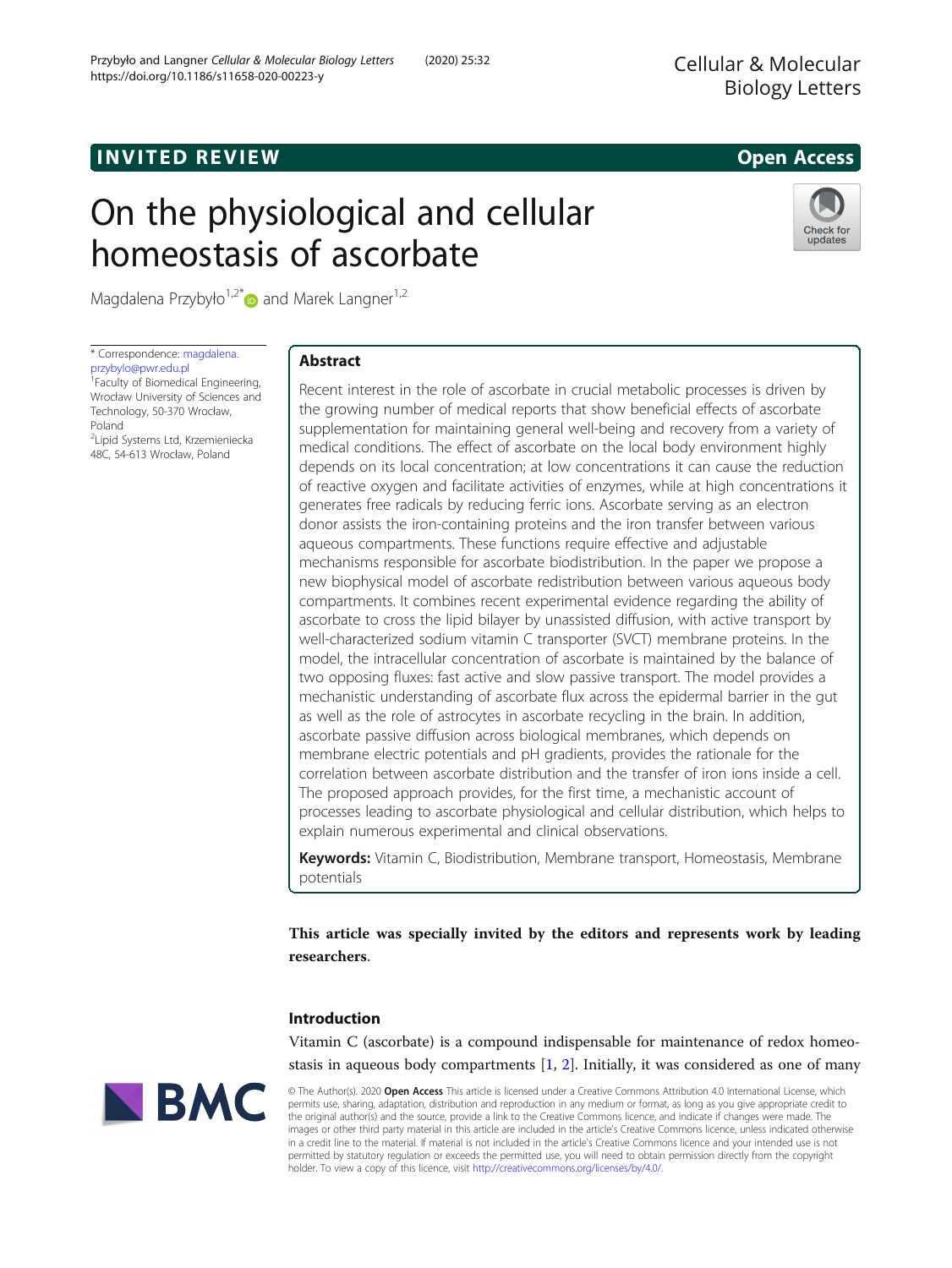https://doi.org/10.1186/s11658-020-00223-y

# On the physiological and cellular homeostasis of ascorbate

Przybyło and Langner Cellular & Molecular Biology Letters (2020) 25:32



Magdalena Przybyło<sup>1,2\*</sup> $\bullet$  and Marek Langner<sup>1,2</sup>

\* Correspondence: [magdalena.](mailto:magdalena.przybylo@pwr.edu.pl) [przybylo@pwr.edu.pl](mailto:magdalena.przybylo@pwr.edu.pl) <sup>1</sup> Faculty of Biomedical Engineering, Wrocław University of Sciences and Technology, 50-370 Wrocław, Poland <sup>2</sup> Lipid Systems Ltd, Krzemieniecka

48C, 54-613 Wrocław, Poland

## Abstract

Recent interest in the role of ascorbate in crucial metabolic processes is driven by the growing number of medical reports that show beneficial effects of ascorbate supplementation for maintaining general well-being and recovery from a variety of medical conditions. The effect of ascorbate on the local body environment highly depends on its local concentration; at low concentrations it can cause the reduction of reactive oxygen and facilitate activities of enzymes, while at high concentrations it generates free radicals by reducing ferric ions. Ascorbate serving as an electron donor assists the iron-containing proteins and the iron transfer between various aqueous compartments. These functions require effective and adjustable mechanisms responsible for ascorbate biodistribution. In the paper we propose a new biophysical model of ascorbate redistribution between various aqueous body compartments. It combines recent experimental evidence regarding the ability of ascorbate to cross the lipid bilayer by unassisted diffusion, with active transport by well-characterized sodium vitamin C transporter (SVCT) membrane proteins. In the model, the intracellular concentration of ascorbate is maintained by the balance of two opposing fluxes: fast active and slow passive transport. The model provides a mechanistic understanding of ascorbate flux across the epidermal barrier in the gut as well as the role of astrocytes in ascorbate recycling in the brain. In addition, ascorbate passive diffusion across biological membranes, which depends on membrane electric potentials and pH gradients, provides the rationale for the correlation between ascorbate distribution and the transfer of iron ions inside a cell. The proposed approach provides, for the first time, a mechanistic account of processes leading to ascorbate physiological and cellular distribution, which helps to explain numerous experimental and clinical observations.

Keywords: Vitamin C, Biodistribution, Membrane transport, Homeostasis, Membrane potentials

This article was specially invited by the editors and represents work by leading researchers.

## Introduction

Vitamin C (ascorbate) is a compound indispensable for maintenance of redox homeostasis in aqueous body compartments [[1](#page-14-0), [2\]](#page-14-0). Initially, it was considered as one of many

© The Author(s). 2020 Open Access This article is licensed under a Creative Commons Attribution 4.0 International License, which permits use, sharing, adaptation, distribution and reproduction in any medium or format, as long as you give appropriate credit to the original author(s) and the source, provide a link to the Creative Commons licence, and indicate if changes were made. The images or other third party material in this article are included in the article's Creative Commons licence, unless indicated otherwise in a credit line to the material. If material is not included in the article's Creative Commons licence and your intended use is not permitted by statutory regulation or exceeds the permitted use, you will need to obtain permission directly from the copyright holder. To view a copy of this licence, visit [http://creativecommons.org/licenses/by/4.0/.](http://creativecommons.org/licenses/by/4.0/)

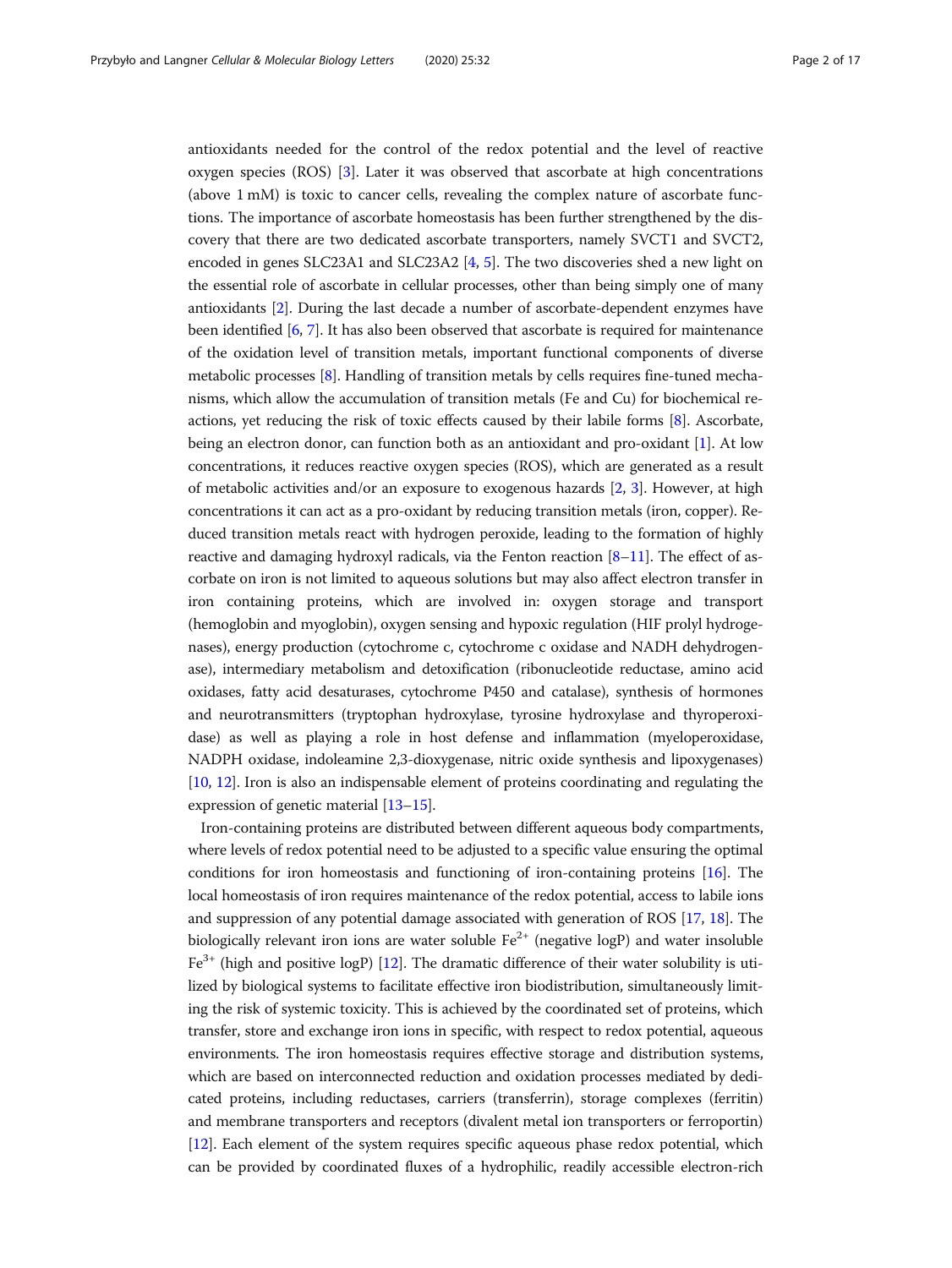antioxidants needed for the control of the redox potential and the level of reactive oxygen species (ROS) [[3\]](#page-14-0). Later it was observed that ascorbate at high concentrations (above 1 mM) is toxic to cancer cells, revealing the complex nature of ascorbate functions. The importance of ascorbate homeostasis has been further strengthened by the discovery that there are two dedicated ascorbate transporters, namely SVCT1 and SVCT2, encoded in genes SLC23A1 and SLC23A2 [\[4,](#page-14-0) [5\]](#page-14-0). The two discoveries shed a new light on the essential role of ascorbate in cellular processes, other than being simply one of many antioxidants [\[2\]](#page-14-0). During the last decade a number of ascorbate-dependent enzymes have been identified [[6](#page-14-0), [7](#page-14-0)]. It has also been observed that ascorbate is required for maintenance of the oxidation level of transition metals, important functional components of diverse metabolic processes [\[8\]](#page-14-0). Handling of transition metals by cells requires fine-tuned mechanisms, which allow the accumulation of transition metals (Fe and Cu) for biochemical reactions, yet reducing the risk of toxic effects caused by their labile forms [[8\]](#page-14-0). Ascorbate, being an electron donor, can function both as an antioxidant and pro-oxidant [\[1](#page-14-0)]. At low concentrations, it reduces reactive oxygen species (ROS), which are generated as a result of metabolic activities and/or an exposure to exogenous hazards [[2,](#page-14-0) [3\]](#page-14-0). However, at high concentrations it can act as a pro-oxidant by reducing transition metals (iron, copper). Reduced transition metals react with hydrogen peroxide, leading to the formation of highly reactive and damaging hydroxyl radicals, via the Fenton reaction [\[8](#page-14-0)–[11\]](#page-14-0). The effect of ascorbate on iron is not limited to aqueous solutions but may also affect electron transfer in iron containing proteins, which are involved in: oxygen storage and transport (hemoglobin and myoglobin), oxygen sensing and hypoxic regulation (HIF prolyl hydrogenases), energy production (cytochrome c, cytochrome c oxidase and NADH dehydrogenase), intermediary metabolism and detoxification (ribonucleotide reductase, amino acid oxidases, fatty acid desaturases, cytochrome P450 and catalase), synthesis of hormones and neurotransmitters (tryptophan hydroxylase, tyrosine hydroxylase and thyroperoxidase) as well as playing a role in host defense and inflammation (myeloperoxidase, NADPH oxidase, indoleamine 2,3-dioxygenase, nitric oxide synthesis and lipoxygenases) [[10](#page-14-0), [12\]](#page-14-0). Iron is also an indispensable element of proteins coordinating and regulating the expression of genetic material [\[13](#page-14-0)–[15](#page-14-0)].

Iron-containing proteins are distributed between different aqueous body compartments, where levels of redox potential need to be adjusted to a specific value ensuring the optimal conditions for iron homeostasis and functioning of iron-containing proteins [\[16\]](#page-14-0). The local homeostasis of iron requires maintenance of the redox potential, access to labile ions and suppression of any potential damage associated with generation of ROS [\[17,](#page-14-0) [18](#page-14-0)]. The biologically relevant iron ions are water soluble  $Fe^{2+}$  (negative logP) and water insoluble  $Fe<sup>3+</sup>$  (high and positive logP) [[12](#page-14-0)]. The dramatic difference of their water solubility is utilized by biological systems to facilitate effective iron biodistribution, simultaneously limiting the risk of systemic toxicity. This is achieved by the coordinated set of proteins, which transfer, store and exchange iron ions in specific, with respect to redox potential, aqueous environments. The iron homeostasis requires effective storage and distribution systems, which are based on interconnected reduction and oxidation processes mediated by dedicated proteins, including reductases, carriers (transferrin), storage complexes (ferritin) and membrane transporters and receptors (divalent metal ion transporters or ferroportin) [[12](#page-14-0)]. Each element of the system requires specific aqueous phase redox potential, which can be provided by coordinated fluxes of a hydrophilic, readily accessible electron-rich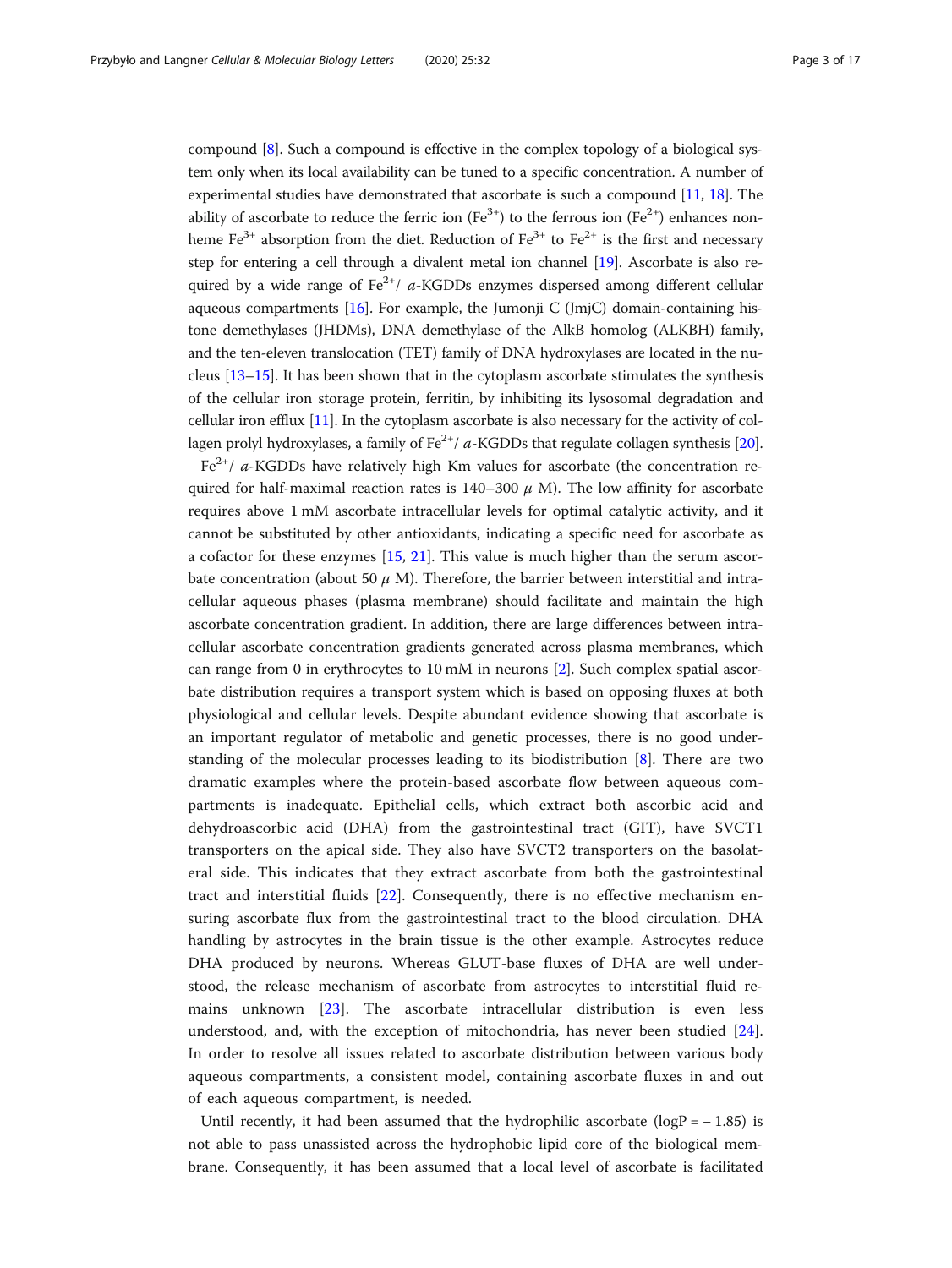compound [\[8\]](#page-14-0). Such a compound is effective in the complex topology of a biological system only when its local availability can be tuned to a specific concentration. A number of experimental studies have demonstrated that ascorbate is such a compound [\[11,](#page-14-0) [18](#page-14-0)]. The ability of ascorbate to reduce the ferric ion ( $Fe^{3+}$ ) to the ferrous ion ( $Fe^{2+}$ ) enhances nonheme  $Fe^{3+}$  absorption from the diet. Reduction of  $Fe^{3+}$  to  $Fe^{2+}$  is the first and necessary step for entering a cell through a divalent metal ion channel [[19](#page-14-0)]. Ascorbate is also required by a wide range of  $Fe^{2+}/a$ -KGDDs enzymes dispersed among different cellular aqueous compartments  $[16]$  $[16]$ . For example, the Jumonji C (JmjC) domain-containing histone demethylases (JHDMs), DNA demethylase of the AlkB homolog (ALKBH) family, and the ten-eleven translocation (TET) family of DNA hydroxylases are located in the nucleus [[13](#page-14-0)–[15\]](#page-14-0). It has been shown that in the cytoplasm ascorbate stimulates the synthesis of the cellular iron storage protein, ferritin, by inhibiting its lysosomal degradation and cellular iron efflux [[11](#page-14-0)]. In the cytoplasm ascorbate is also necessary for the activity of collagen prolyl hydroxylases, a family of  $Fe^{2+}/a$ -KGDDs that regulate collagen synthesis [[20](#page-14-0)].

 $Fe<sup>2+</sup>/a-KGDDs$  have relatively high Km values for ascorbate (the concentration required for half-maximal reaction rates is 140–300  $\mu$  M). The low affinity for ascorbate requires above 1 mM ascorbate intracellular levels for optimal catalytic activity, and it cannot be substituted by other antioxidants, indicating a specific need for ascorbate as a cofactor for these enzymes [\[15,](#page-14-0) [21\]](#page-14-0). This value is much higher than the serum ascorbate concentration (about 50  $\mu$  M). Therefore, the barrier between interstitial and intracellular aqueous phases (plasma membrane) should facilitate and maintain the high ascorbate concentration gradient. In addition, there are large differences between intracellular ascorbate concentration gradients generated across plasma membranes, which can range from 0 in erythrocytes to 10 mM in neurons [\[2](#page-14-0)]. Such complex spatial ascorbate distribution requires a transport system which is based on opposing fluxes at both physiological and cellular levels. Despite abundant evidence showing that ascorbate is an important regulator of metabolic and genetic processes, there is no good understanding of the molecular processes leading to its biodistribution [\[8](#page-14-0)]. There are two dramatic examples where the protein-based ascorbate flow between aqueous compartments is inadequate. Epithelial cells, which extract both ascorbic acid and dehydroascorbic acid (DHA) from the gastrointestinal tract (GIT), have SVCT1 transporters on the apical side. They also have SVCT2 transporters on the basolateral side. This indicates that they extract ascorbate from both the gastrointestinal tract and interstitial fluids [\[22](#page-14-0)]. Consequently, there is no effective mechanism ensuring ascorbate flux from the gastrointestinal tract to the blood circulation. DHA handling by astrocytes in the brain tissue is the other example. Astrocytes reduce DHA produced by neurons. Whereas GLUT-base fluxes of DHA are well understood, the release mechanism of ascorbate from astrocytes to interstitial fluid remains unknown [[23](#page-14-0)]. The ascorbate intracellular distribution is even less understood, and, with the exception of mitochondria, has never been studied [\[24](#page-14-0)]. In order to resolve all issues related to ascorbate distribution between various body aqueous compartments, a consistent model, containing ascorbate fluxes in and out of each aqueous compartment, is needed.

Until recently, it had been assumed that the hydrophilic ascorbate ( $logP = -1.85$ ) is not able to pass unassisted across the hydrophobic lipid core of the biological membrane. Consequently, it has been assumed that a local level of ascorbate is facilitated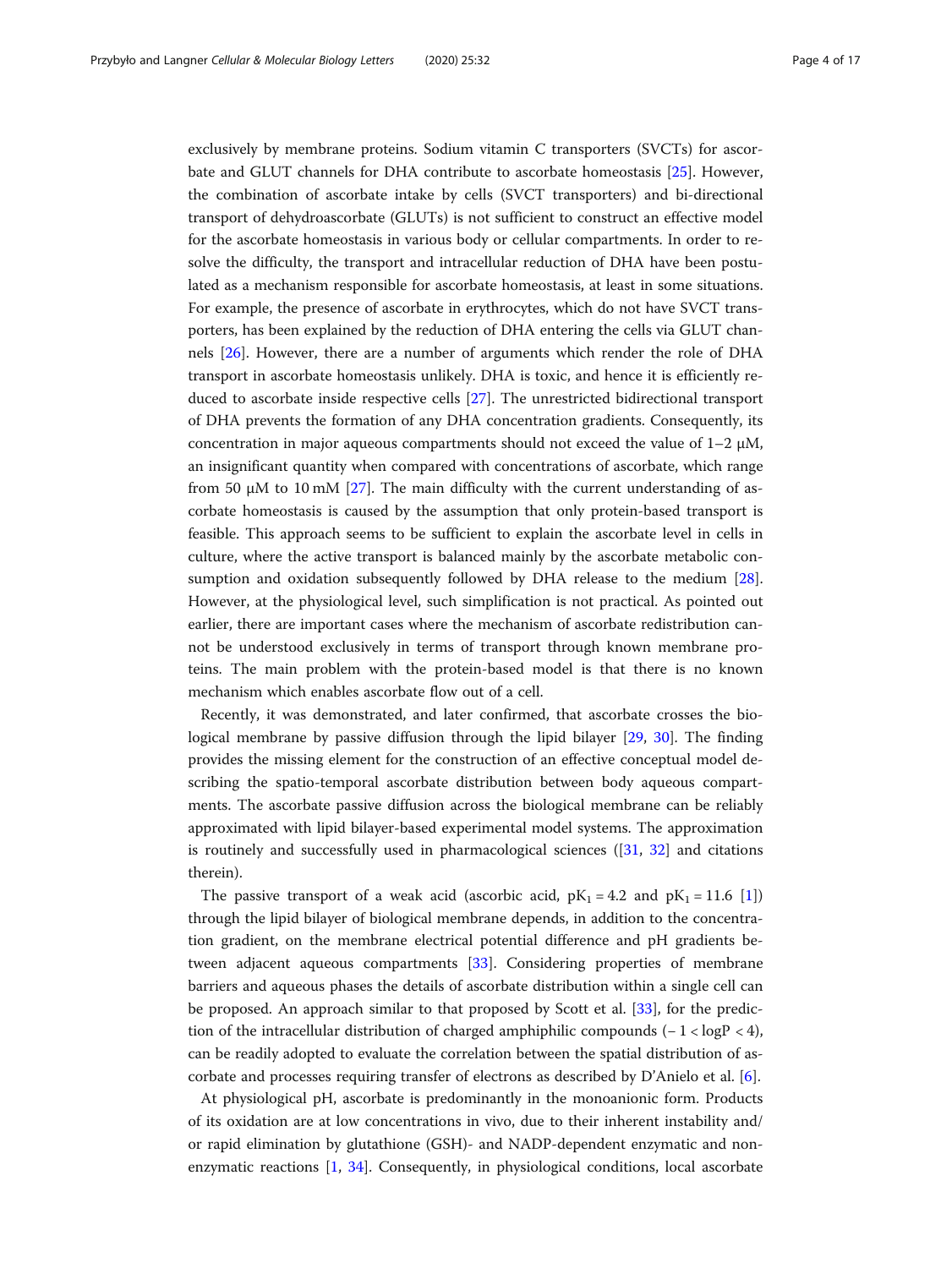exclusively by membrane proteins. Sodium vitamin C transporters (SVCTs) for ascorbate and GLUT channels for DHA contribute to ascorbate homeostasis [\[25](#page-14-0)]. However, the combination of ascorbate intake by cells (SVCT transporters) and bi-directional transport of dehydroascorbate (GLUTs) is not sufficient to construct an effective model for the ascorbate homeostasis in various body or cellular compartments. In order to resolve the difficulty, the transport and intracellular reduction of DHA have been postulated as a mechanism responsible for ascorbate homeostasis, at least in some situations. For example, the presence of ascorbate in erythrocytes, which do not have SVCT transporters, has been explained by the reduction of DHA entering the cells via GLUT channels [[26\]](#page-14-0). However, there are a number of arguments which render the role of DHA transport in ascorbate homeostasis unlikely. DHA is toxic, and hence it is efficiently reduced to ascorbate inside respective cells [[27](#page-14-0)]. The unrestricted bidirectional transport of DHA prevents the formation of any DHA concentration gradients. Consequently, its concentration in major aqueous compartments should not exceed the value of  $1-2 \mu M$ , an insignificant quantity when compared with concentrations of ascorbate, which range from 50  $\mu$ M to 10 mM [\[27](#page-14-0)]. The main difficulty with the current understanding of ascorbate homeostasis is caused by the assumption that only protein-based transport is feasible. This approach seems to be sufficient to explain the ascorbate level in cells in culture, where the active transport is balanced mainly by the ascorbate metabolic consumption and oxidation subsequently followed by DHA release to the medium [[28](#page-14-0)]. However, at the physiological level, such simplification is not practical. As pointed out earlier, there are important cases where the mechanism of ascorbate redistribution cannot be understood exclusively in terms of transport through known membrane proteins. The main problem with the protein-based model is that there is no known mechanism which enables ascorbate flow out of a cell.

Recently, it was demonstrated, and later confirmed, that ascorbate crosses the biological membrane by passive diffusion through the lipid bilayer [[29,](#page-14-0) [30\]](#page-14-0). The finding provides the missing element for the construction of an effective conceptual model describing the spatio-temporal ascorbate distribution between body aqueous compartments. The ascorbate passive diffusion across the biological membrane can be reliably approximated with lipid bilayer-based experimental model systems. The approximation is routinely and successfully used in pharmacological sciences ([\[31](#page-14-0), [32](#page-14-0)] and citations therein).

The passive transport of a weak acid (ascorbic acid,  $pK_1 = 4.2$  and  $pK_1 = 11.6$  [\[1](#page-14-0)]) through the lipid bilayer of biological membrane depends, in addition to the concentration gradient, on the membrane electrical potential difference and pH gradients between adjacent aqueous compartments [[33\]](#page-14-0). Considering properties of membrane barriers and aqueous phases the details of ascorbate distribution within a single cell can be proposed. An approach similar to that proposed by Scott et al. [[33](#page-14-0)], for the prediction of the intracellular distribution of charged amphiphilic compounds  $(-1 < logP < 4)$ , can be readily adopted to evaluate the correlation between the spatial distribution of ascorbate and processes requiring transfer of electrons as described by D'Anielo et al. [[6\]](#page-14-0).

At physiological pH, ascorbate is predominantly in the monoanionic form. Products of its oxidation are at low concentrations in vivo, due to their inherent instability and/ or rapid elimination by glutathione (GSH)- and NADP-dependent enzymatic and nonenzymatic reactions [[1,](#page-14-0) [34\]](#page-15-0). Consequently, in physiological conditions, local ascorbate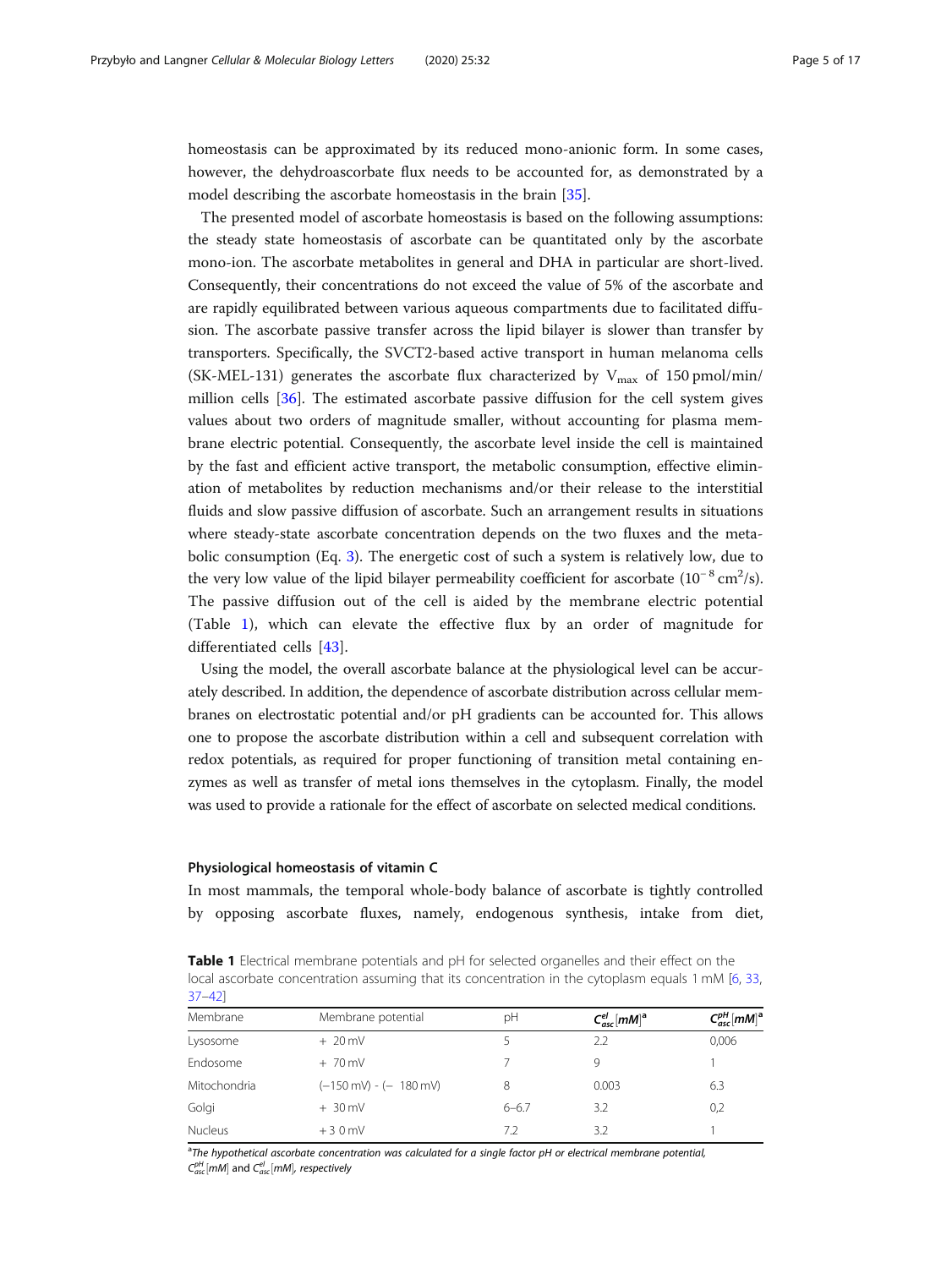<span id="page-4-0"></span>homeostasis can be approximated by its reduced mono-anionic form. In some cases, however, the dehydroascorbate flux needs to be accounted for, as demonstrated by a model describing the ascorbate homeostasis in the brain [[35](#page-15-0)].

The presented model of ascorbate homeostasis is based on the following assumptions: the steady state homeostasis of ascorbate can be quantitated only by the ascorbate mono-ion. The ascorbate metabolites in general and DHA in particular are short-lived. Consequently, their concentrations do not exceed the value of 5% of the ascorbate and are rapidly equilibrated between various aqueous compartments due to facilitated diffusion. The ascorbate passive transfer across the lipid bilayer is slower than transfer by transporters. Specifically, the SVCT2-based active transport in human melanoma cells (SK-MEL-131) generates the ascorbate flux characterized by  $V_{\text{max}}$  of 150 pmol/min/ million cells [[36\]](#page-15-0). The estimated ascorbate passive diffusion for the cell system gives values about two orders of magnitude smaller, without accounting for plasma membrane electric potential. Consequently, the ascorbate level inside the cell is maintained by the fast and efficient active transport, the metabolic consumption, effective elimination of metabolites by reduction mechanisms and/or their release to the interstitial fluids and slow passive diffusion of ascorbate. Such an arrangement results in situations where steady-state ascorbate concentration depends on the two fluxes and the metabolic consumption (Eq. [3\)](#page-8-0). The energetic cost of such a system is relatively low, due to the very low value of the lipid bilayer permeability coefficient for ascorbate  $(10^{-8} \text{ cm}^2/\text{s})$ . The passive diffusion out of the cell is aided by the membrane electric potential (Table 1), which can elevate the effective flux by an order of magnitude for differentiated cells [\[43](#page-15-0)].

Using the model, the overall ascorbate balance at the physiological level can be accurately described. In addition, the dependence of ascorbate distribution across cellular membranes on electrostatic potential and/or pH gradients can be accounted for. This allows one to propose the ascorbate distribution within a cell and subsequent correlation with redox potentials, as required for proper functioning of transition metal containing enzymes as well as transfer of metal ions themselves in the cytoplasm. Finally, the model was used to provide a rationale for the effect of ascorbate on selected medical conditions.

#### Physiological homeostasis of vitamin C

In most mammals, the temporal whole-body balance of ascorbate is tightly controlled by opposing ascorbate fluxes, namely, endogenous synthesis, intake from diet,

Table 1 Electrical membrane potentials and pH for selected organelles and their effect on the local ascorbate concentration assuming that its concentration in the cytoplasm equals 1 mM [\[6,](#page-14-0) [33](#page-14-0), [37](#page-15-0)–[42](#page-15-0)]

| Membrane       | Membrane potential                      | рH        | $C_{asc}^{el}[mM]^{a}$ | $C_{asc}^{pH}[mM]^{a}$ |
|----------------|-----------------------------------------|-----------|------------------------|------------------------|
| Lysosome       | $+20$ mV                                |           | 2.2                    | 0,006                  |
| Endosome       | $+70$ mV                                |           | 9                      |                        |
| Mitochondria   | $(-150 \text{ mV}) - (-180 \text{ mV})$ | 8         | 0.003                  | 6.3                    |
| Golgi          | $+30$ mV                                | $6 - 6.7$ | 3.2                    | 0,2                    |
| <b>Nucleus</b> | $+30$ mV                                | 7.2       | 3.2                    |                        |

a The hypothetical ascorbate concentration was calculated for a single factor pH or electrical membrane potential,  $C^{pH}_{asc}[mM]$  and  $C^{el}_{asc}[mM]$ , respectively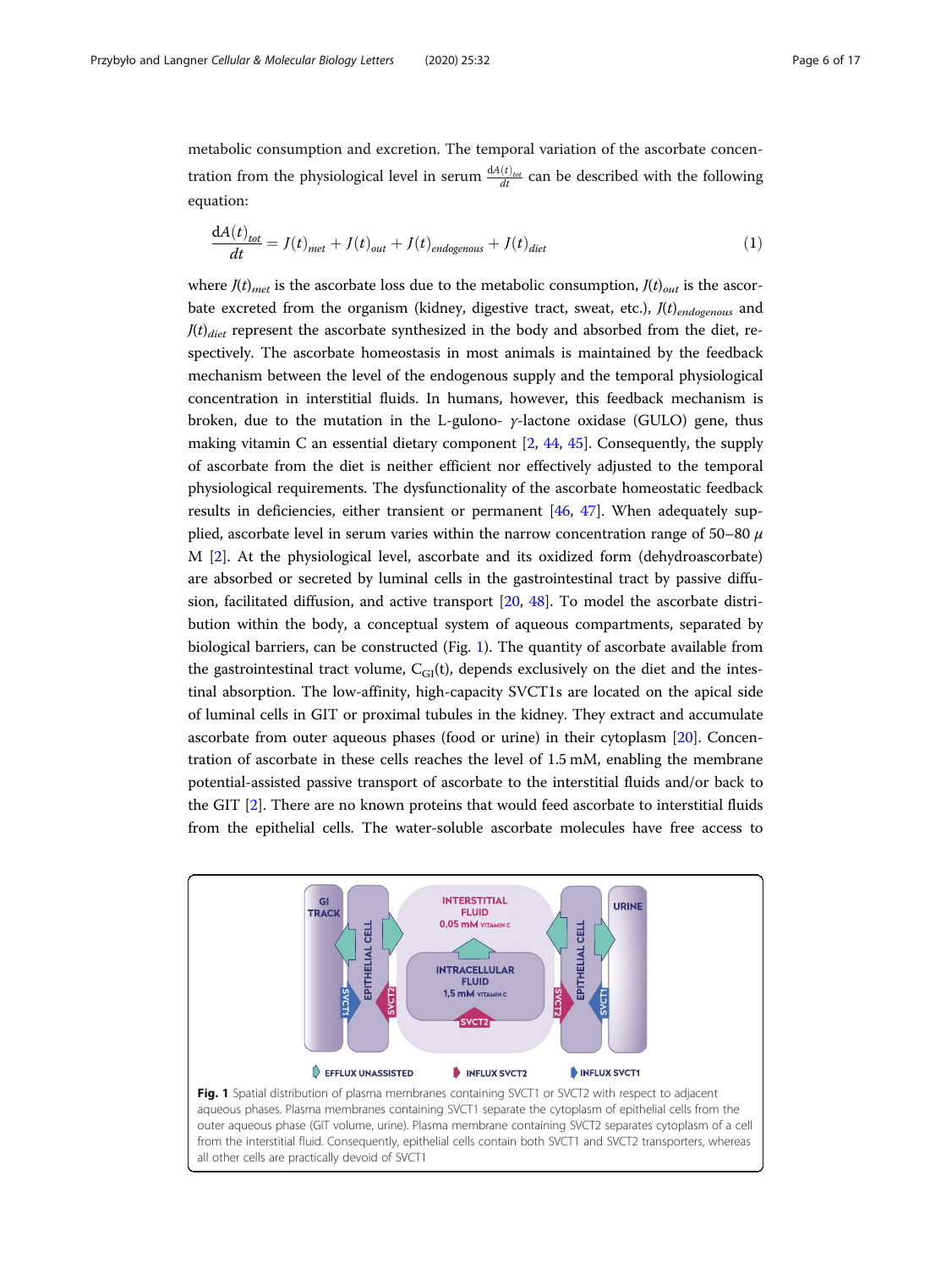<span id="page-5-0"></span>metabolic consumption and excretion. The temporal variation of the ascorbate concentration from the physiological level in serum  $\frac{dA(t)_{tot}}{dt}$  can be described with the following equation:

$$
\frac{dA(t)_{tot}}{dt} = J(t)_{met} + J(t)_{out} + J(t)_{endogenous} + J(t)_{diet}
$$
\n(1)

where  $J(t)_{met}$  is the ascorbate loss due to the metabolic consumption,  $J(t)_{out}$  is the ascorbate excreted from the organism (kidney, digestive tract, sweat, etc.),  $J(t)_{endogenous}$  and  $J(t)_{diet}$  represent the ascorbate synthesized in the body and absorbed from the diet, respectively. The ascorbate homeostasis in most animals is maintained by the feedback mechanism between the level of the endogenous supply and the temporal physiological concentration in interstitial fluids. In humans, however, this feedback mechanism is broken, due to the mutation in the L-gulono- γ-lactone oxidase (GULO) gene, thus making vitamin C an essential dietary component  $[2, 44, 45]$  $[2, 44, 45]$  $[2, 44, 45]$  $[2, 44, 45]$  $[2, 44, 45]$  $[2, 44, 45]$  $[2, 44, 45]$ . Consequently, the supply of ascorbate from the diet is neither efficient nor effectively adjusted to the temporal physiological requirements. The dysfunctionality of the ascorbate homeostatic feedback results in deficiencies, either transient or permanent [\[46,](#page-15-0) [47](#page-15-0)]. When adequately supplied, ascorbate level in serum varies within the narrow concentration range of 50–80  $\mu$ M [\[2](#page-14-0)]. At the physiological level, ascorbate and its oxidized form (dehydroascorbate) are absorbed or secreted by luminal cells in the gastrointestinal tract by passive diffusion, facilitated diffusion, and active transport [\[20](#page-14-0), [48\]](#page-15-0). To model the ascorbate distribution within the body, a conceptual system of aqueous compartments, separated by biological barriers, can be constructed (Fig. 1). The quantity of ascorbate available from the gastrointestinal tract volume,  $C_{GI}(t)$ , depends exclusively on the diet and the intestinal absorption. The low-affinity, high-capacity SVCT1s are located on the apical side of luminal cells in GIT or proximal tubules in the kidney. They extract and accumulate ascorbate from outer aqueous phases (food or urine) in their cytoplasm [[20\]](#page-14-0). Concentration of ascorbate in these cells reaches the level of 1.5 mM, enabling the membrane potential-assisted passive transport of ascorbate to the interstitial fluids and/or back to the GIT [\[2](#page-14-0)]. There are no known proteins that would feed ascorbate to interstitial fluids from the epithelial cells. The water-soluble ascorbate molecules have free access to

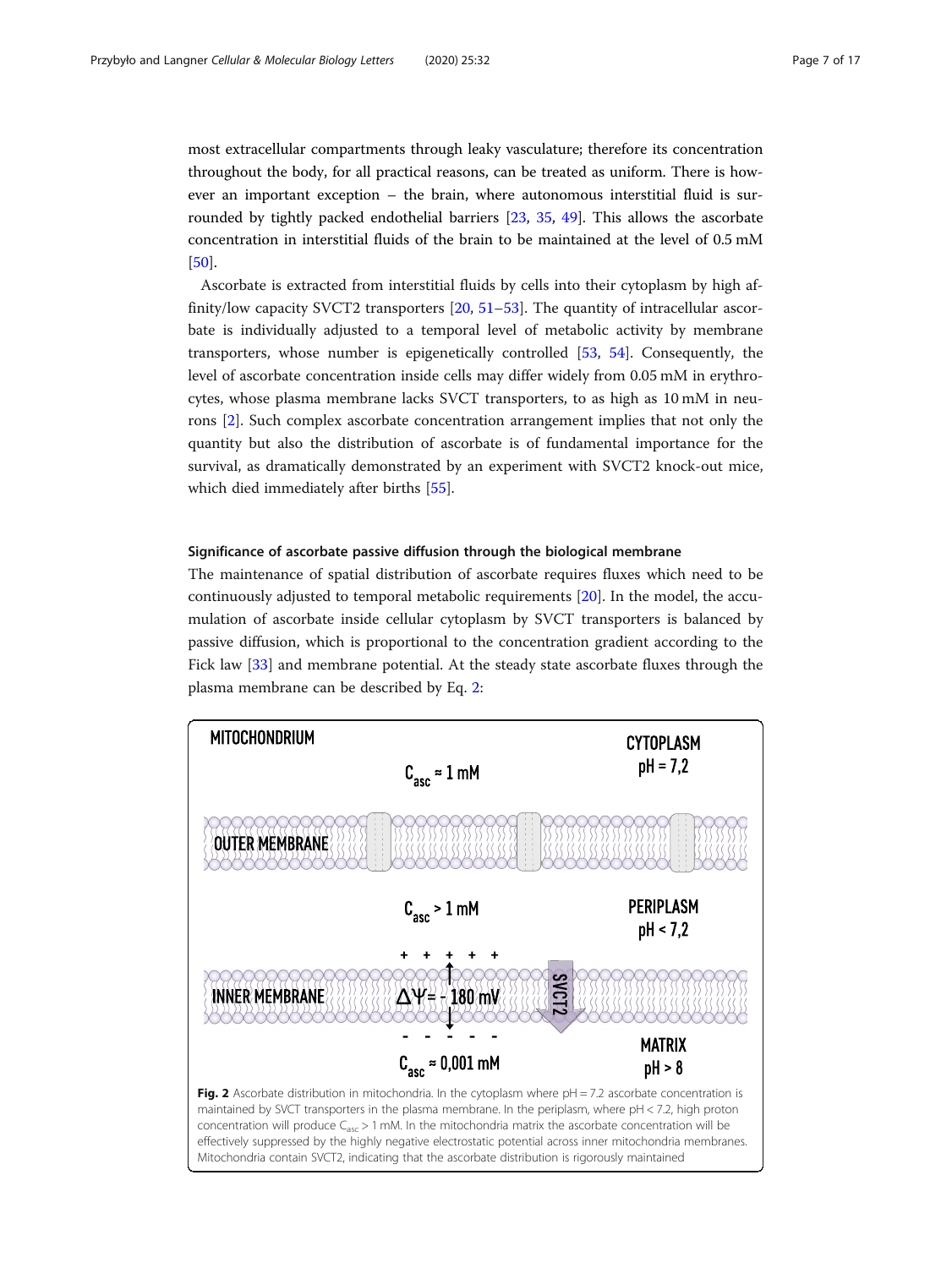<span id="page-6-0"></span>most extracellular compartments through leaky vasculature; therefore its concentration throughout the body, for all practical reasons, can be treated as uniform. There is however an important exception – the brain, where autonomous interstitial fluid is surrounded by tightly packed endothelial barriers [[23](#page-14-0), [35](#page-15-0), [49](#page-15-0)]. This allows the ascorbate concentration in interstitial fluids of the brain to be maintained at the level of 0.5 mM [[50\]](#page-15-0).

Ascorbate is extracted from interstitial fluids by cells into their cytoplasm by high affinity/low capacity SVCT2 transporters  $[20, 51-53]$  $[20, 51-53]$  $[20, 51-53]$  $[20, 51-53]$  $[20, 51-53]$  $[20, 51-53]$ . The quantity of intracellular ascorbate is individually adjusted to a temporal level of metabolic activity by membrane transporters, whose number is epigenetically controlled [\[53,](#page-15-0) [54](#page-15-0)]. Consequently, the level of ascorbate concentration inside cells may differ widely from 0.05 mM in erythrocytes, whose plasma membrane lacks SVCT transporters, to as high as 10 mM in neurons [\[2](#page-14-0)]. Such complex ascorbate concentration arrangement implies that not only the quantity but also the distribution of ascorbate is of fundamental importance for the survival, as dramatically demonstrated by an experiment with SVCT2 knock-out mice, which died immediately after births [\[55](#page-15-0)].

## Significance of ascorbate passive diffusion through the biological membrane

The maintenance of spatial distribution of ascorbate requires fluxes which need to be continuously adjusted to temporal metabolic requirements [[20\]](#page-14-0). In the model, the accumulation of ascorbate inside cellular cytoplasm by SVCT transporters is balanced by passive diffusion, which is proportional to the concentration gradient according to the Fick law [[33\]](#page-14-0) and membrane potential. At the steady state ascorbate fluxes through the plasma membrane can be described by Eq. [2](#page-7-0):

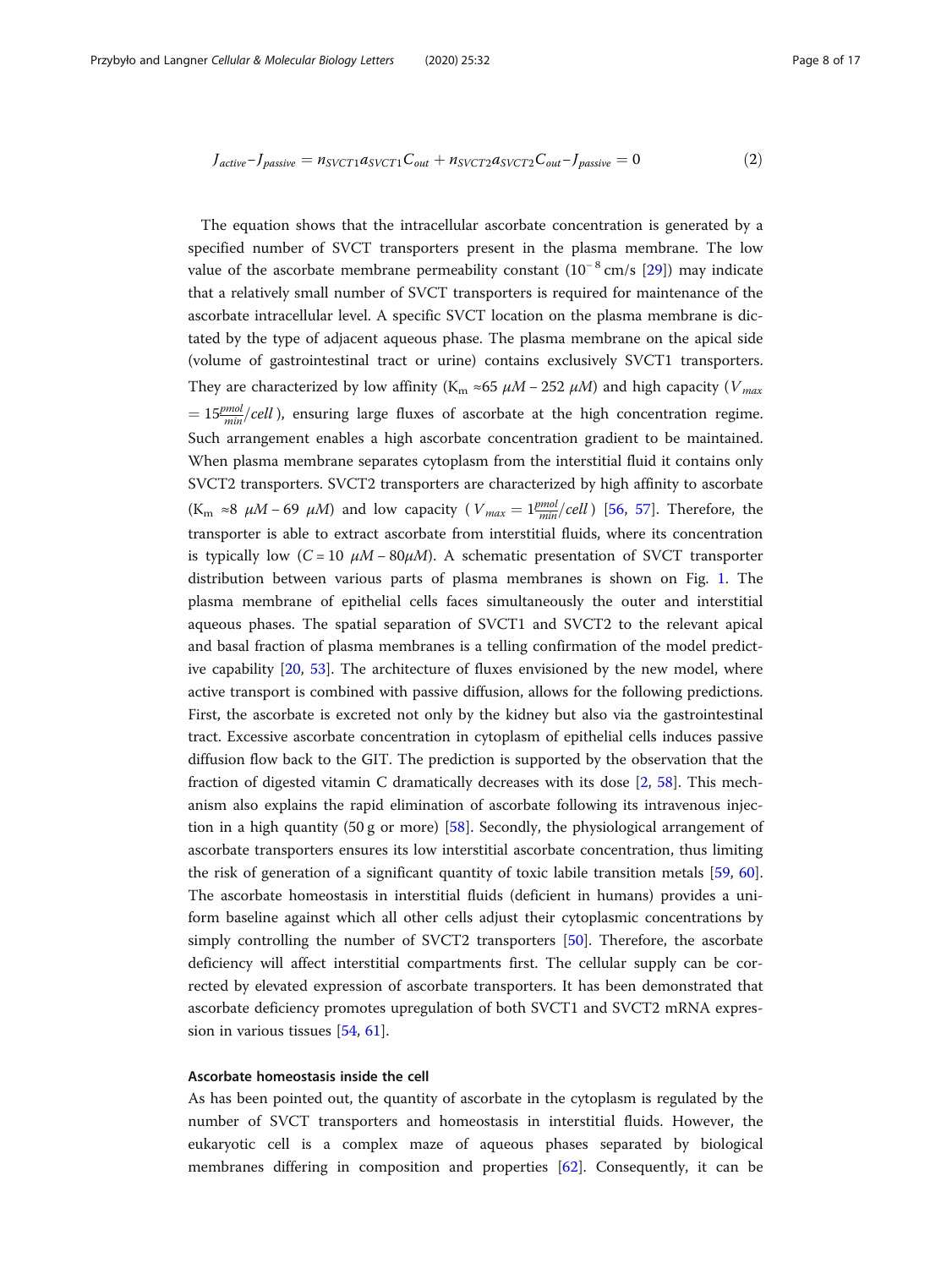<span id="page-7-0"></span>
$$
J_{active} - J_{passive} = n_{SVCT1}a_{SVCT1}C_{out} + n_{SVCT2}a_{SVCT2}C_{out} - J_{passive} = 0
$$
\n(2)

The equation shows that the intracellular ascorbate concentration is generated by a specified number of SVCT transporters present in the plasma membrane. The low value of the ascorbate membrane permeability constant  $(10^{-8}$  cm/s  $[29]$  $[29]$ ) may indicate that a relatively small number of SVCT transporters is required for maintenance of the ascorbate intracellular level. A specific SVCT location on the plasma membrane is dictated by the type of adjacent aqueous phase. The plasma membrane on the apical side (volume of gastrointestinal tract or urine) contains exclusively SVCT1 transporters. They are characterized by low affinity (K<sub>m</sub> ≈65  $\mu$ M – 252  $\mu$ M) and high capacity (V<sub>max</sub>  $=15\frac{pmol}{min}/cell$ ), ensuring large fluxes of ascorbate at the high concentration regime. Such arrangement enables a high ascorbate concentration gradient to be maintained. When plasma membrane separates cytoplasm from the interstitial fluid it contains only SVCT2 transporters. SVCT2 transporters are characterized by high affinity to ascorbate (K<sub>m</sub> ≈8 μM − 69 μM) and low capacity ( $V_{max} = 1 \frac{pmol}{min}/cell$ ) [[56,](#page-15-0) [57](#page-15-0)]. Therefore, the transporter is able to extract ascorbate from interstitial fluids, where its concentration is typically low (C = 10  $\mu$ M – 80 $\mu$ M). A schematic presentation of SVCT transporter distribution between various parts of plasma membranes is shown on Fig. [1.](#page-5-0) The plasma membrane of epithelial cells faces simultaneously the outer and interstitial aqueous phases. The spatial separation of SVCT1 and SVCT2 to the relevant apical and basal fraction of plasma membranes is a telling confirmation of the model predictive capability [\[20](#page-14-0), [53\]](#page-15-0). The architecture of fluxes envisioned by the new model, where active transport is combined with passive diffusion, allows for the following predictions. First, the ascorbate is excreted not only by the kidney but also via the gastrointestinal tract. Excessive ascorbate concentration in cytoplasm of epithelial cells induces passive diffusion flow back to the GIT. The prediction is supported by the observation that the fraction of digested vitamin C dramatically decreases with its dose [[2,](#page-14-0) [58](#page-15-0)]. This mechanism also explains the rapid elimination of ascorbate following its intravenous injection in a high quantity (50 g or more) [\[58](#page-15-0)]. Secondly, the physiological arrangement of ascorbate transporters ensures its low interstitial ascorbate concentration, thus limiting the risk of generation of a significant quantity of toxic labile transition metals [\[59,](#page-15-0) [60](#page-15-0)]. The ascorbate homeostasis in interstitial fluids (deficient in humans) provides a uniform baseline against which all other cells adjust their cytoplasmic concentrations by simply controlling the number of SVCT2 transporters [\[50](#page-15-0)]. Therefore, the ascorbate deficiency will affect interstitial compartments first. The cellular supply can be corrected by elevated expression of ascorbate transporters. It has been demonstrated that ascorbate deficiency promotes upregulation of both SVCT1 and SVCT2 mRNA expression in various tissues [[54](#page-15-0), [61](#page-15-0)].

## Ascorbate homeostasis inside the cell

As has been pointed out, the quantity of ascorbate in the cytoplasm is regulated by the number of SVCT transporters and homeostasis in interstitial fluids. However, the eukaryotic cell is a complex maze of aqueous phases separated by biological membranes differing in composition and properties [[62\]](#page-15-0). Consequently, it can be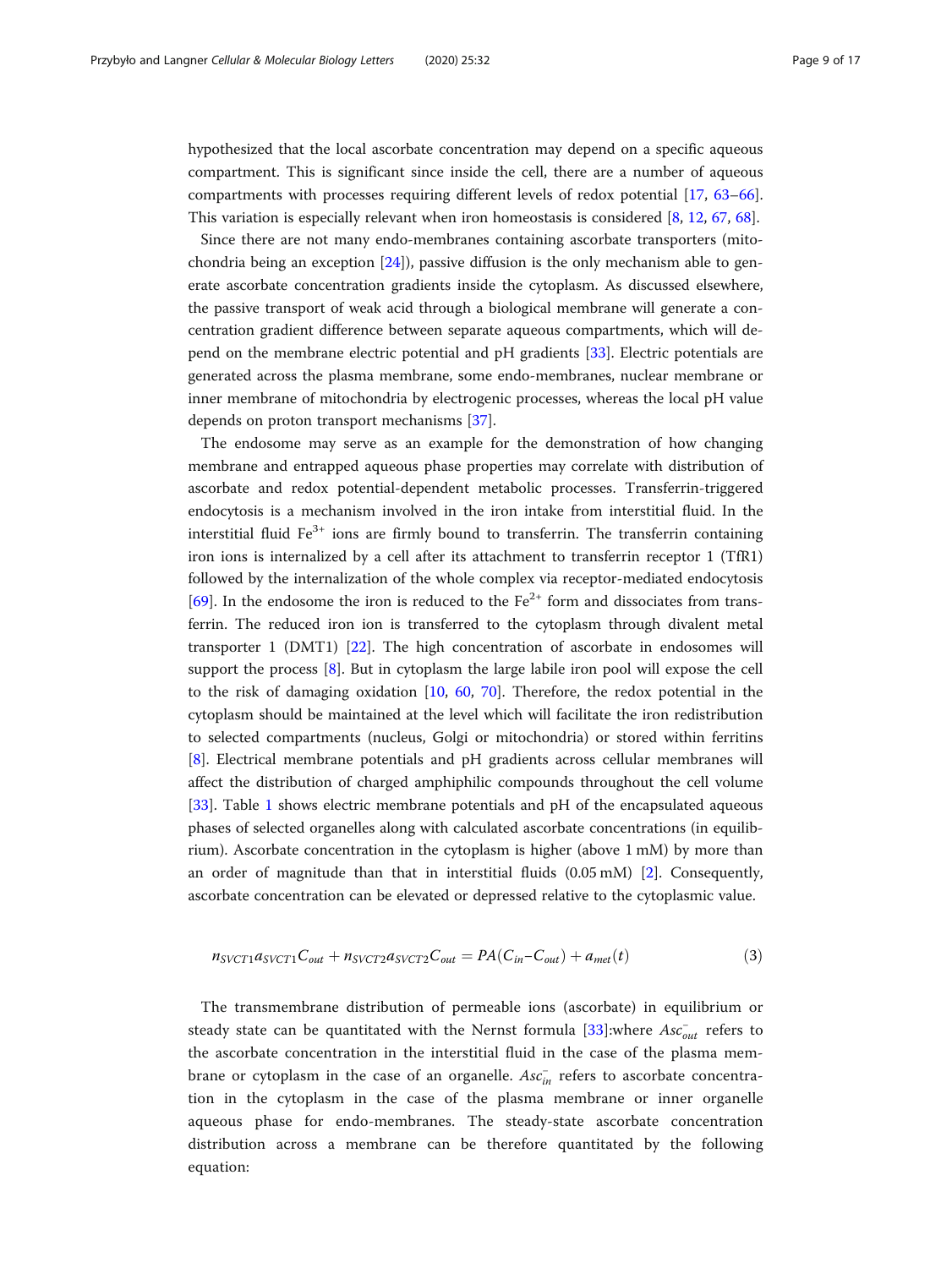<span id="page-8-0"></span>hypothesized that the local ascorbate concentration may depend on a specific aqueous compartment. This is significant since inside the cell, there are a number of aqueous compartments with processes requiring different levels of redox potential [\[17,](#page-14-0) [63](#page-15-0)–[66](#page-15-0)]. This variation is especially relevant when iron homeostasis is considered [[8](#page-14-0), [12](#page-14-0), [67](#page-15-0), [68](#page-15-0)].

Since there are not many endo-membranes containing ascorbate transporters (mitochondria being an exception [[24\]](#page-14-0)), passive diffusion is the only mechanism able to generate ascorbate concentration gradients inside the cytoplasm. As discussed elsewhere, the passive transport of weak acid through a biological membrane will generate a concentration gradient difference between separate aqueous compartments, which will depend on the membrane electric potential and pH gradients [\[33](#page-14-0)]. Electric potentials are generated across the plasma membrane, some endo-membranes, nuclear membrane or inner membrane of mitochondria by electrogenic processes, whereas the local pH value depends on proton transport mechanisms [\[37](#page-15-0)].

The endosome may serve as an example for the demonstration of how changing membrane and entrapped aqueous phase properties may correlate with distribution of ascorbate and redox potential-dependent metabolic processes. Transferrin-triggered endocytosis is a mechanism involved in the iron intake from interstitial fluid. In the interstitial fluid  $Fe<sup>3+</sup>$  ions are firmly bound to transferrin. The transferrin containing iron ions is internalized by a cell after its attachment to transferrin receptor 1 (TfR1) followed by the internalization of the whole complex via receptor-mediated endocytosis [[69\]](#page-15-0). In the endosome the iron is reduced to the  $Fe^{2+}$  form and dissociates from transferrin. The reduced iron ion is transferred to the cytoplasm through divalent metal transporter 1 (DMT1) [[22](#page-14-0)]. The high concentration of ascorbate in endosomes will support the process [[8\]](#page-14-0). But in cytoplasm the large labile iron pool will expose the cell to the risk of damaging oxidation [[10](#page-14-0), [60,](#page-15-0) [70\]](#page-15-0). Therefore, the redox potential in the cytoplasm should be maintained at the level which will facilitate the iron redistribution to selected compartments (nucleus, Golgi or mitochondria) or stored within ferritins [[8\]](#page-14-0). Electrical membrane potentials and pH gradients across cellular membranes will affect the distribution of charged amphiphilic compounds throughout the cell volume [[33\]](#page-14-0). Table [1](#page-4-0) shows electric membrane potentials and pH of the encapsulated aqueous phases of selected organelles along with calculated ascorbate concentrations (in equilibrium). Ascorbate concentration in the cytoplasm is higher (above 1 mM) by more than an order of magnitude than that in interstitial fluids (0.05 mM) [\[2](#page-14-0)]. Consequently, ascorbate concentration can be elevated or depressed relative to the cytoplasmic value.

$$
n_{SVCT1}a_{SVCT1}C_{out} + n_{SVCT2}a_{SVCT2}C_{out} = PA(C_{in} - C_{out}) + a_{met}(t)
$$
\n(3)

The transmembrane distribution of permeable ions (ascorbate) in equilibrium or steady state can be quantitated with the Nernst formula [[33\]](#page-14-0):where Asc<sub>out</sub> refers to the ascorbate concentration in the interstitial fluid in the case of the plasma membrane or cytoplasm in the case of an organelle.  $Asc_{in}^-$  refers to ascorbate concentration in the cytoplasm in the case of the plasma membrane or inner organelle aqueous phase for endo-membranes. The steady-state ascorbate concentration distribution across a membrane can be therefore quantitated by the following equation: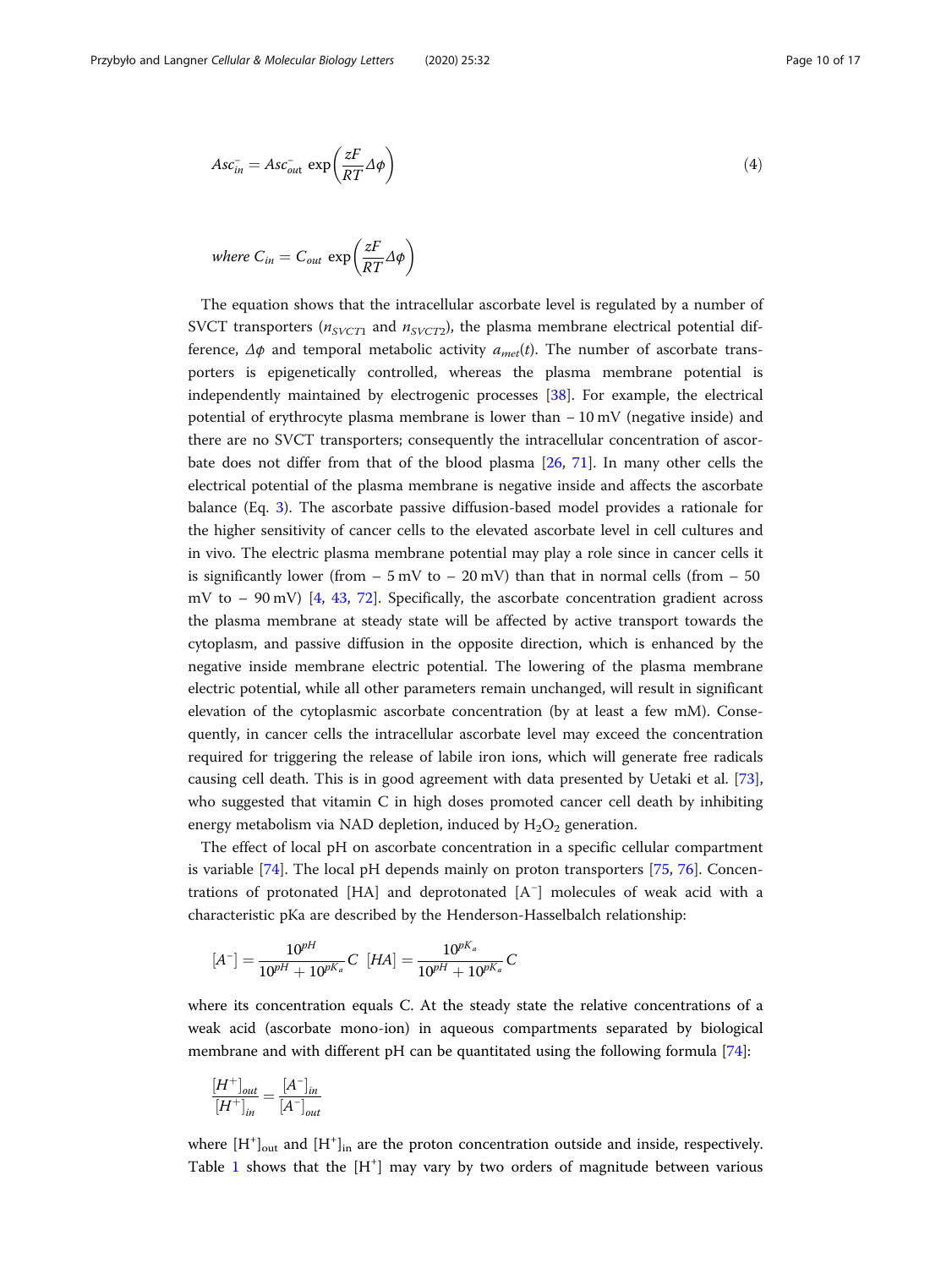$$
Asc_{in}^- = Asc_{out}^- \exp\left(\frac{zF}{RT}\Delta\phi\right) \tag{4}
$$

where 
$$
C_{in} = C_{out} \exp\left(\frac{zF}{RT}\Delta\phi\right)
$$

The equation shows that the intracellular ascorbate level is regulated by a number of SVCT transporters ( $n_{SVCT1}$  and  $n_{SVCT2}$ ), the plasma membrane electrical potential difference,  $\Delta \phi$  and temporal metabolic activity  $a_{met}(t)$ . The number of ascorbate transporters is epigenetically controlled, whereas the plasma membrane potential is independently maintained by electrogenic processes [[38](#page-15-0)]. For example, the electrical potential of erythrocyte plasma membrane is lower than − 10 mV (negative inside) and there are no SVCT transporters; consequently the intracellular concentration of ascorbate does not differ from that of the blood plasma [\[26,](#page-14-0) [71\]](#page-15-0). In many other cells the electrical potential of the plasma membrane is negative inside and affects the ascorbate balance (Eq. [3\)](#page-8-0). The ascorbate passive diffusion-based model provides a rationale for the higher sensitivity of cancer cells to the elevated ascorbate level in cell cultures and in vivo. The electric plasma membrane potential may play a role since in cancer cells it is significantly lower (from  $-5$  mV to  $-20$  mV) than that in normal cells (from  $-50$ mV to  $-$  90 mV) [\[4](#page-14-0), [43](#page-15-0), [72](#page-16-0)]. Specifically, the ascorbate concentration gradient across the plasma membrane at steady state will be affected by active transport towards the cytoplasm, and passive diffusion in the opposite direction, which is enhanced by the negative inside membrane electric potential. The lowering of the plasma membrane electric potential, while all other parameters remain unchanged, will result in significant elevation of the cytoplasmic ascorbate concentration (by at least a few mM). Consequently, in cancer cells the intracellular ascorbate level may exceed the concentration required for triggering the release of labile iron ions, which will generate free radicals causing cell death. This is in good agreement with data presented by Uetaki et al. [[73](#page-16-0)], who suggested that vitamin C in high doses promoted cancer cell death by inhibiting energy metabolism via NAD depletion, induced by  $H_2O_2$  generation.

The effect of local pH on ascorbate concentration in a specific cellular compartment is variable [\[74\]](#page-16-0). The local pH depends mainly on proton transporters [\[75,](#page-16-0) [76](#page-16-0)]. Concentrations of protonated [HA] and deprotonated [A<sup>−</sup> ] molecules of weak acid with a characteristic pKa are described by the Henderson-Hasselbalch relationship:

$$
[A^{-}] = \frac{10^{pH}}{10^{pH} + 10^{pK_{a}}} C \ \ [HA] = \frac{10^{pK_{a}}}{10^{pH} + 10^{pK_{a}}} C
$$

where its concentration equals C. At the steady state the relative concentrations of a weak acid (ascorbate mono-ion) in aqueous compartments separated by biological membrane and with different pH can be quantitated using the following formula [[74\]](#page-16-0):

$$
\frac{[H^+]_{out}}{[H^+]_{in}} = \frac{[A^-]_{in}}{[A^-]_{out}}
$$

where  $[H^+]_{out}$  and  $[H^+]_{in}$  are the proton concentration outside and inside, respectively. Table  $1$  shows that the  $[H^+]$  may vary by two orders of magnitude between various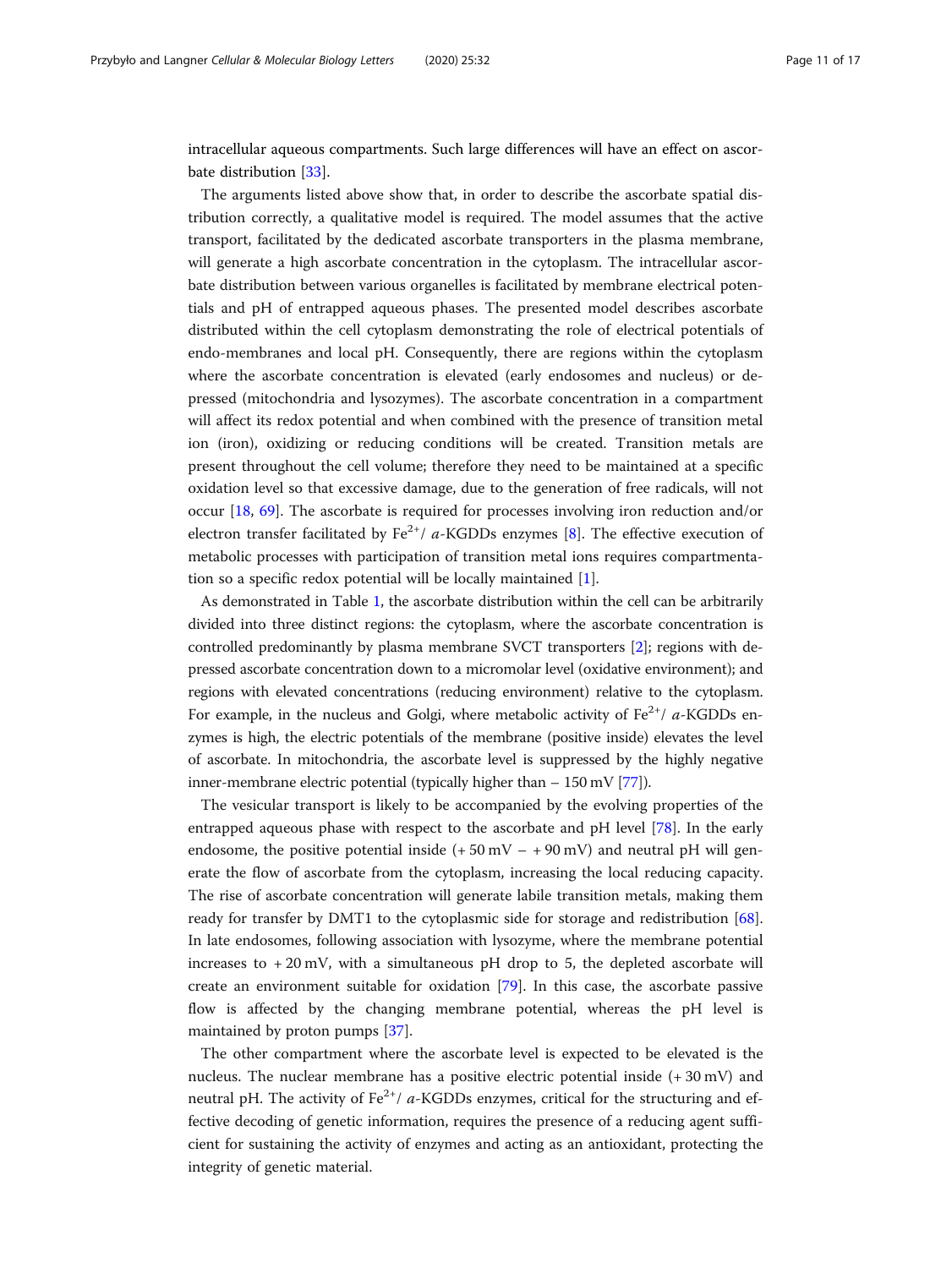intracellular aqueous compartments. Such large differences will have an effect on ascorbate distribution [\[33](#page-14-0)].

The arguments listed above show that, in order to describe the ascorbate spatial distribution correctly, a qualitative model is required. The model assumes that the active transport, facilitated by the dedicated ascorbate transporters in the plasma membrane, will generate a high ascorbate concentration in the cytoplasm. The intracellular ascorbate distribution between various organelles is facilitated by membrane electrical potentials and pH of entrapped aqueous phases. The presented model describes ascorbate distributed within the cell cytoplasm demonstrating the role of electrical potentials of endo-membranes and local pH. Consequently, there are regions within the cytoplasm where the ascorbate concentration is elevated (early endosomes and nucleus) or depressed (mitochondria and lysozymes). The ascorbate concentration in a compartment will affect its redox potential and when combined with the presence of transition metal ion (iron), oxidizing or reducing conditions will be created. Transition metals are present throughout the cell volume; therefore they need to be maintained at a specific oxidation level so that excessive damage, due to the generation of free radicals, will not occur [\[18,](#page-14-0) [69](#page-15-0)]. The ascorbate is required for processes involving iron reduction and/or electron transfer facilitated by  $Fe^{2+}/a$ -KGDDs enzymes [[8\]](#page-14-0). The effective execution of metabolic processes with participation of transition metal ions requires compartmentation so a specific redox potential will be locally maintained [[1\]](#page-14-0).

As demonstrated in Table [1](#page-4-0), the ascorbate distribution within the cell can be arbitrarily divided into three distinct regions: the cytoplasm, where the ascorbate concentration is controlled predominantly by plasma membrane SVCT transporters [[2\]](#page-14-0); regions with depressed ascorbate concentration down to a micromolar level (oxidative environment); and regions with elevated concentrations (reducing environment) relative to the cytoplasm. For example, in the nucleus and Golgi, where metabolic activity of  $Fe^{2+}/a$ -KGDDs enzymes is high, the electric potentials of the membrane (positive inside) elevates the level of ascorbate. In mitochondria, the ascorbate level is suppressed by the highly negative inner-membrane electric potential (typically higher than – 150 mV [[77](#page-16-0)]).

The vesicular transport is likely to be accompanied by the evolving properties of the entrapped aqueous phase with respect to the ascorbate and pH level [[78\]](#page-16-0). In the early endosome, the positive potential inside  $(+50 \text{ mV} - +90 \text{ mV})$  and neutral pH will generate the flow of ascorbate from the cytoplasm, increasing the local reducing capacity. The rise of ascorbate concentration will generate labile transition metals, making them ready for transfer by DMT1 to the cytoplasmic side for storage and redistribution [[68](#page-15-0)]. In late endosomes, following association with lysozyme, where the membrane potential increases to  $+20$  mV, with a simultaneous pH drop to 5, the depleted ascorbate will create an environment suitable for oxidation [\[79](#page-16-0)]. In this case, the ascorbate passive flow is affected by the changing membrane potential, whereas the pH level is maintained by proton pumps [\[37](#page-15-0)].

The other compartment where the ascorbate level is expected to be elevated is the nucleus. The nuclear membrane has a positive electric potential inside (+ 30 mV) and neutral pH. The activity of  $Fe^{2+}/a$ -KGDDs enzymes, critical for the structuring and effective decoding of genetic information, requires the presence of a reducing agent sufficient for sustaining the activity of enzymes and acting as an antioxidant, protecting the integrity of genetic material.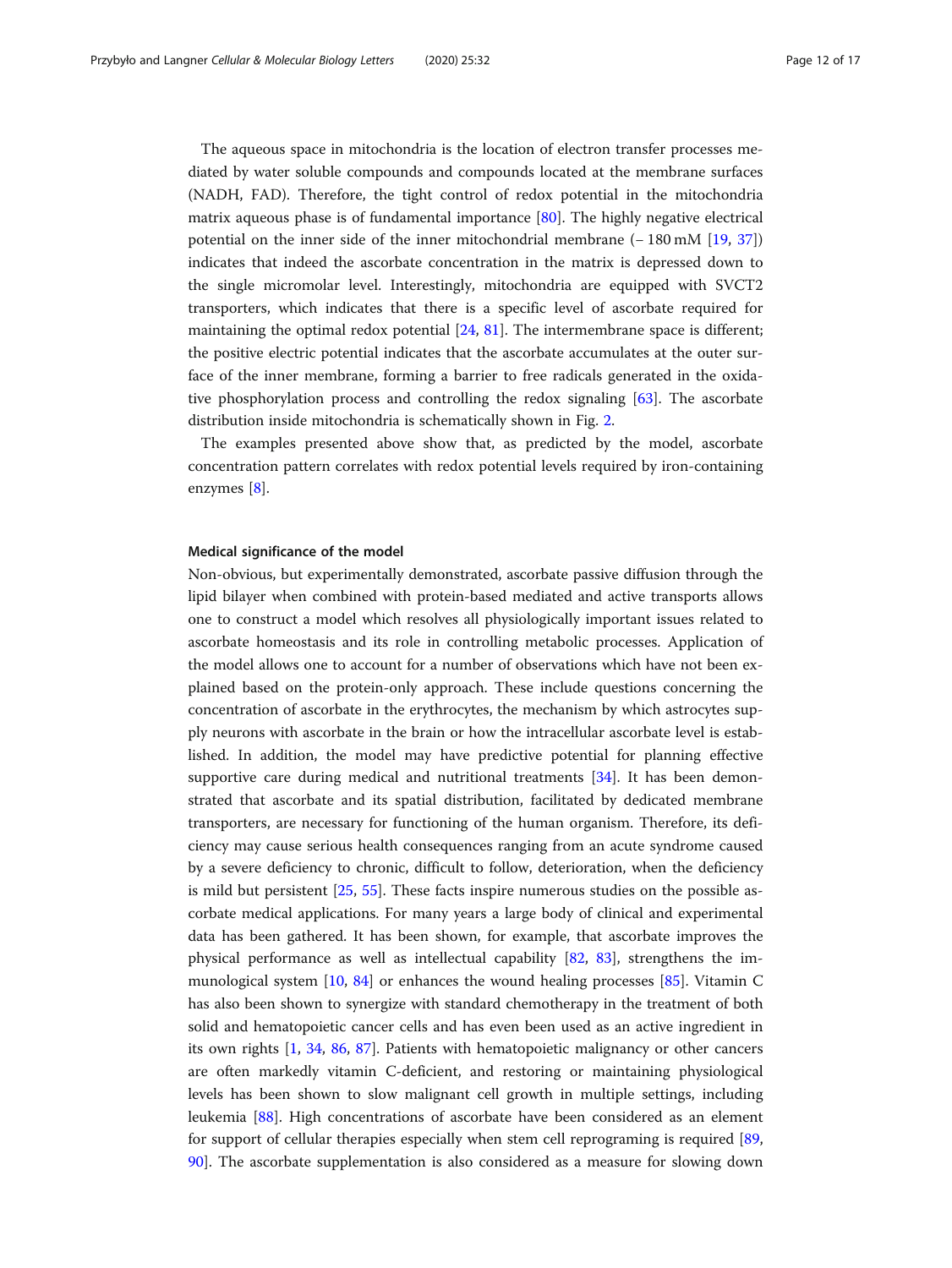The aqueous space in mitochondria is the location of electron transfer processes mediated by water soluble compounds and compounds located at the membrane surfaces (NADH, FAD). Therefore, the tight control of redox potential in the mitochondria matrix aqueous phase is of fundamental importance [[80](#page-16-0)]. The highly negative electrical potential on the inner side of the inner mitochondrial membrane (− 180 mM [[19,](#page-14-0) [37](#page-15-0)]) indicates that indeed the ascorbate concentration in the matrix is depressed down to the single micromolar level. Interestingly, mitochondria are equipped with SVCT2 transporters, which indicates that there is a specific level of ascorbate required for maintaining the optimal redox potential [[24,](#page-14-0) [81\]](#page-16-0). The intermembrane space is different; the positive electric potential indicates that the ascorbate accumulates at the outer surface of the inner membrane, forming a barrier to free radicals generated in the oxidative phosphorylation process and controlling the redox signaling [\[63\]](#page-15-0). The ascorbate distribution inside mitochondria is schematically shown in Fig. [2.](#page-6-0)

The examples presented above show that, as predicted by the model, ascorbate concentration pattern correlates with redox potential levels required by iron-containing enzymes [[8\]](#page-14-0).

#### Medical significance of the model

Non-obvious, but experimentally demonstrated, ascorbate passive diffusion through the lipid bilayer when combined with protein-based mediated and active transports allows one to construct a model which resolves all physiologically important issues related to ascorbate homeostasis and its role in controlling metabolic processes. Application of the model allows one to account for a number of observations which have not been explained based on the protein-only approach. These include questions concerning the concentration of ascorbate in the erythrocytes, the mechanism by which astrocytes supply neurons with ascorbate in the brain or how the intracellular ascorbate level is established. In addition, the model may have predictive potential for planning effective supportive care during medical and nutritional treatments [\[34\]](#page-15-0). It has been demonstrated that ascorbate and its spatial distribution, facilitated by dedicated membrane transporters, are necessary for functioning of the human organism. Therefore, its deficiency may cause serious health consequences ranging from an acute syndrome caused by a severe deficiency to chronic, difficult to follow, deterioration, when the deficiency is mild but persistent [\[25](#page-14-0), [55](#page-15-0)]. These facts inspire numerous studies on the possible ascorbate medical applications. For many years a large body of clinical and experimental data has been gathered. It has been shown, for example, that ascorbate improves the physical performance as well as intellectual capability [\[82](#page-16-0), [83\]](#page-16-0), strengthens the immunological system [[10](#page-14-0), [84\]](#page-16-0) or enhances the wound healing processes [[85\]](#page-16-0). Vitamin C has also been shown to synergize with standard chemotherapy in the treatment of both solid and hematopoietic cancer cells and has even been used as an active ingredient in its own rights [\[1](#page-14-0), [34,](#page-15-0) [86](#page-16-0), [87](#page-16-0)]. Patients with hematopoietic malignancy or other cancers are often markedly vitamin C-deficient, and restoring or maintaining physiological levels has been shown to slow malignant cell growth in multiple settings, including leukemia [[88](#page-16-0)]. High concentrations of ascorbate have been considered as an element for support of cellular therapies especially when stem cell reprograming is required [[89](#page-16-0), [90](#page-16-0)]. The ascorbate supplementation is also considered as a measure for slowing down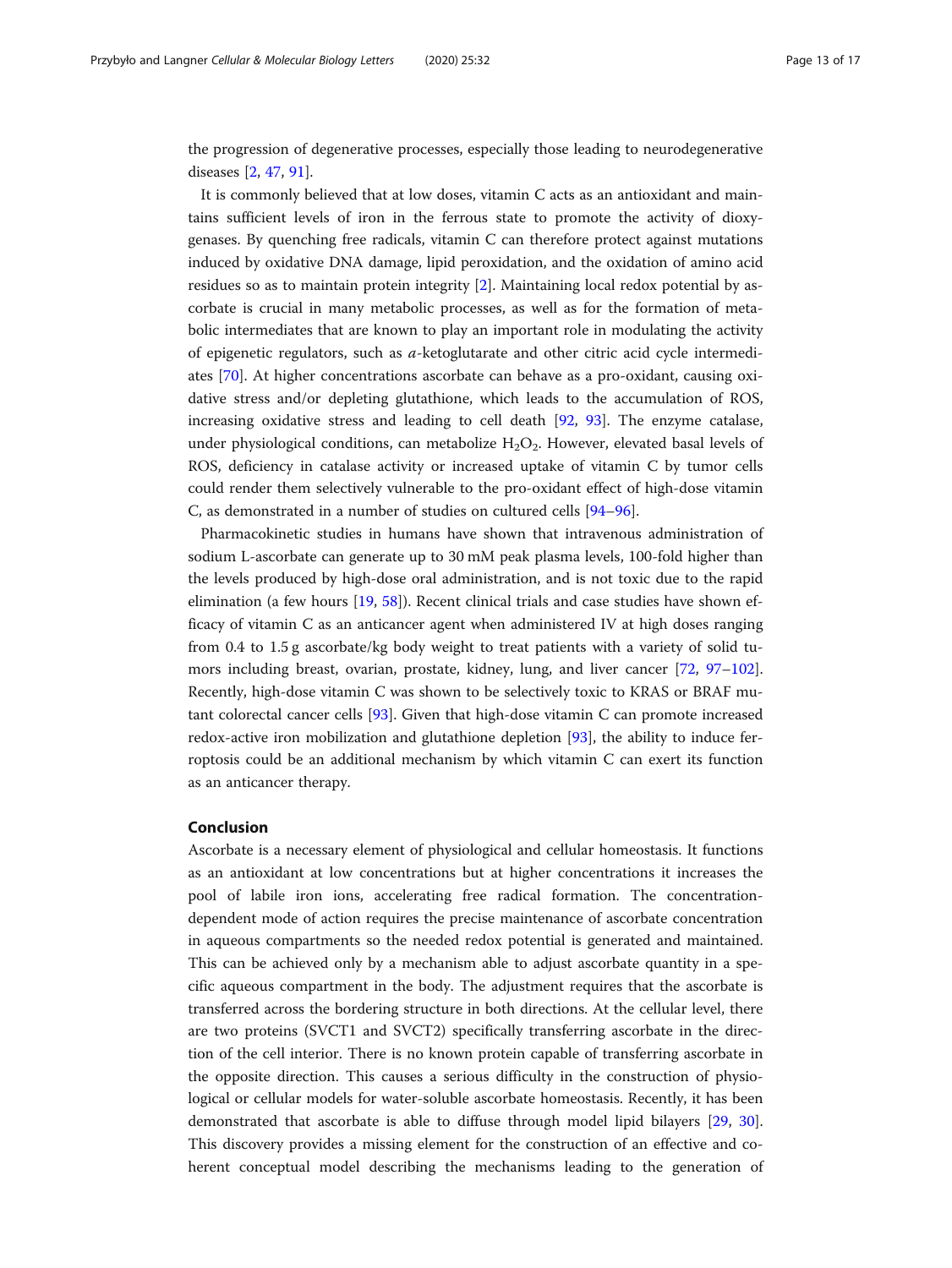the progression of degenerative processes, especially those leading to neurodegenerative diseases [\[2,](#page-14-0) [47,](#page-15-0) [91\]](#page-16-0).

It is commonly believed that at low doses, vitamin C acts as an antioxidant and maintains sufficient levels of iron in the ferrous state to promote the activity of dioxygenases. By quenching free radicals, vitamin C can therefore protect against mutations induced by oxidative DNA damage, lipid peroxidation, and the oxidation of amino acid residues so as to maintain protein integrity [\[2](#page-14-0)]. Maintaining local redox potential by ascorbate is crucial in many metabolic processes, as well as for the formation of metabolic intermediates that are known to play an important role in modulating the activity of epigenetic regulators, such as  $a$ -ketoglutarate and other citric acid cycle intermediates [[70\]](#page-15-0). At higher concentrations ascorbate can behave as a pro-oxidant, causing oxidative stress and/or depleting glutathione, which leads to the accumulation of ROS, increasing oxidative stress and leading to cell death [[92,](#page-16-0) [93\]](#page-16-0). The enzyme catalase, under physiological conditions, can metabolize  $H_2O_2$ . However, elevated basal levels of ROS, deficiency in catalase activity or increased uptake of vitamin C by tumor cells could render them selectively vulnerable to the pro-oxidant effect of high-dose vitamin C, as demonstrated in a number of studies on cultured cells [\[94](#page-16-0)–[96\]](#page-16-0).

Pharmacokinetic studies in humans have shown that intravenous administration of sodium L-ascorbate can generate up to 30 mM peak plasma levels, 100-fold higher than the levels produced by high-dose oral administration, and is not toxic due to the rapid elimination (a few hours [\[19,](#page-14-0) [58\]](#page-15-0)). Recent clinical trials and case studies have shown efficacy of vitamin C as an anticancer agent when administered IV at high doses ranging from 0.4 to 1.5 g ascorbate/kg body weight to treat patients with a variety of solid tumors including breast, ovarian, prostate, kidney, lung, and liver cancer [[72](#page-16-0), [97](#page-16-0)–[102](#page-16-0)]. Recently, high-dose vitamin C was shown to be selectively toxic to KRAS or BRAF mutant colorectal cancer cells [\[93](#page-16-0)]. Given that high-dose vitamin C can promote increased redox-active iron mobilization and glutathione depletion [\[93\]](#page-16-0), the ability to induce ferroptosis could be an additional mechanism by which vitamin C can exert its function as an anticancer therapy.

## Conclusion

Ascorbate is a necessary element of physiological and cellular homeostasis. It functions as an antioxidant at low concentrations but at higher concentrations it increases the pool of labile iron ions, accelerating free radical formation. The concentrationdependent mode of action requires the precise maintenance of ascorbate concentration in aqueous compartments so the needed redox potential is generated and maintained. This can be achieved only by a mechanism able to adjust ascorbate quantity in a specific aqueous compartment in the body. The adjustment requires that the ascorbate is transferred across the bordering structure in both directions. At the cellular level, there are two proteins (SVCT1 and SVCT2) specifically transferring ascorbate in the direction of the cell interior. There is no known protein capable of transferring ascorbate in the opposite direction. This causes a serious difficulty in the construction of physiological or cellular models for water-soluble ascorbate homeostasis. Recently, it has been demonstrated that ascorbate is able to diffuse through model lipid bilayers [\[29,](#page-14-0) [30](#page-14-0)]. This discovery provides a missing element for the construction of an effective and coherent conceptual model describing the mechanisms leading to the generation of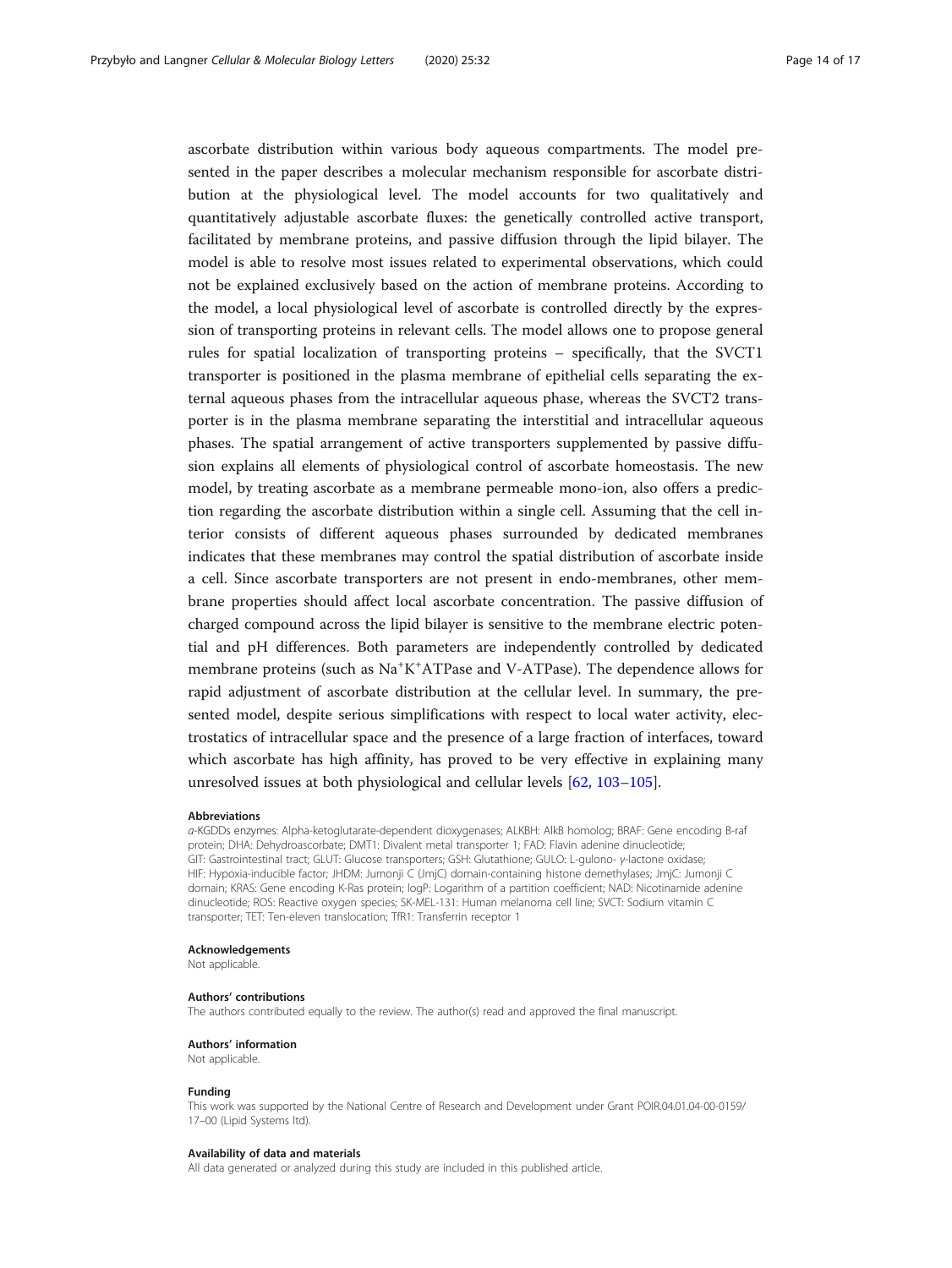ascorbate distribution within various body aqueous compartments. The model presented in the paper describes a molecular mechanism responsible for ascorbate distribution at the physiological level. The model accounts for two qualitatively and quantitatively adjustable ascorbate fluxes: the genetically controlled active transport, facilitated by membrane proteins, and passive diffusion through the lipid bilayer. The model is able to resolve most issues related to experimental observations, which could not be explained exclusively based on the action of membrane proteins. According to the model, a local physiological level of ascorbate is controlled directly by the expression of transporting proteins in relevant cells. The model allows one to propose general rules for spatial localization of transporting proteins – specifically, that the SVCT1 transporter is positioned in the plasma membrane of epithelial cells separating the external aqueous phases from the intracellular aqueous phase, whereas the SVCT2 transporter is in the plasma membrane separating the interstitial and intracellular aqueous phases. The spatial arrangement of active transporters supplemented by passive diffusion explains all elements of physiological control of ascorbate homeostasis. The new model, by treating ascorbate as a membrane permeable mono-ion, also offers a prediction regarding the ascorbate distribution within a single cell. Assuming that the cell interior consists of different aqueous phases surrounded by dedicated membranes indicates that these membranes may control the spatial distribution of ascorbate inside a cell. Since ascorbate transporters are not present in endo-membranes, other membrane properties should affect local ascorbate concentration. The passive diffusion of charged compound across the lipid bilayer is sensitive to the membrane electric potential and pH differences. Both parameters are independently controlled by dedicated membrane proteins (such as Na<sup>+</sup>K<sup>+</sup>ATPase and V-ATPase). The dependence allows for rapid adjustment of ascorbate distribution at the cellular level. In summary, the presented model, despite serious simplifications with respect to local water activity, electrostatics of intracellular space and the presence of a large fraction of interfaces, toward which ascorbate has high affinity, has proved to be very effective in explaining many unresolved issues at both physiological and cellular levels [\[62](#page-15-0), [103](#page-16-0)–[105\]](#page-16-0).

#### Abbreviations

a-KGDDs enzymes: Alpha-ketoglutarate-dependent dioxygenases; ALKBH: AlkB homolog; BRAF: Gene encoding B-raf protein; DHA: Dehydroascorbate; DMT1: Divalent metal transporter 1; FAD: Flavin adenine dinucleotide; GIT: Gastrointestinal tract; GLUT: Glucose transporters; GSH: Glutathione; GULO: L-gulono- γ-lactone oxidase; HIF: Hypoxia-inducible factor; JHDM: Jumonji C (JmjC) domain-containing histone demethylases; JmjC: Jumonji C domain; KRAS: Gene encoding K-Ras protein; logP: Logarithm of a partition coefficient; NAD: Nicotinamide adenine dinucleotide; ROS: Reactive oxygen species; SK-MEL-131: Human melanoma cell line; SVCT: Sodium vitamin C transporter; TET: Ten-eleven translocation; TfR1: Transferrin receptor 1

#### Acknowledgements

Not applicable.

## Authors' contributions

The authors contributed equally to the review. The author(s) read and approved the final manuscript.

#### Authors' information

Not applicable.

#### Funding

This work was supported by the National Centre of Research and Development under Grant POIR.04.01.04-00-0159/ 17–00 (Lipid Systems ltd).

#### Availability of data and materials

All data generated or analyzed during this study are included in this published article.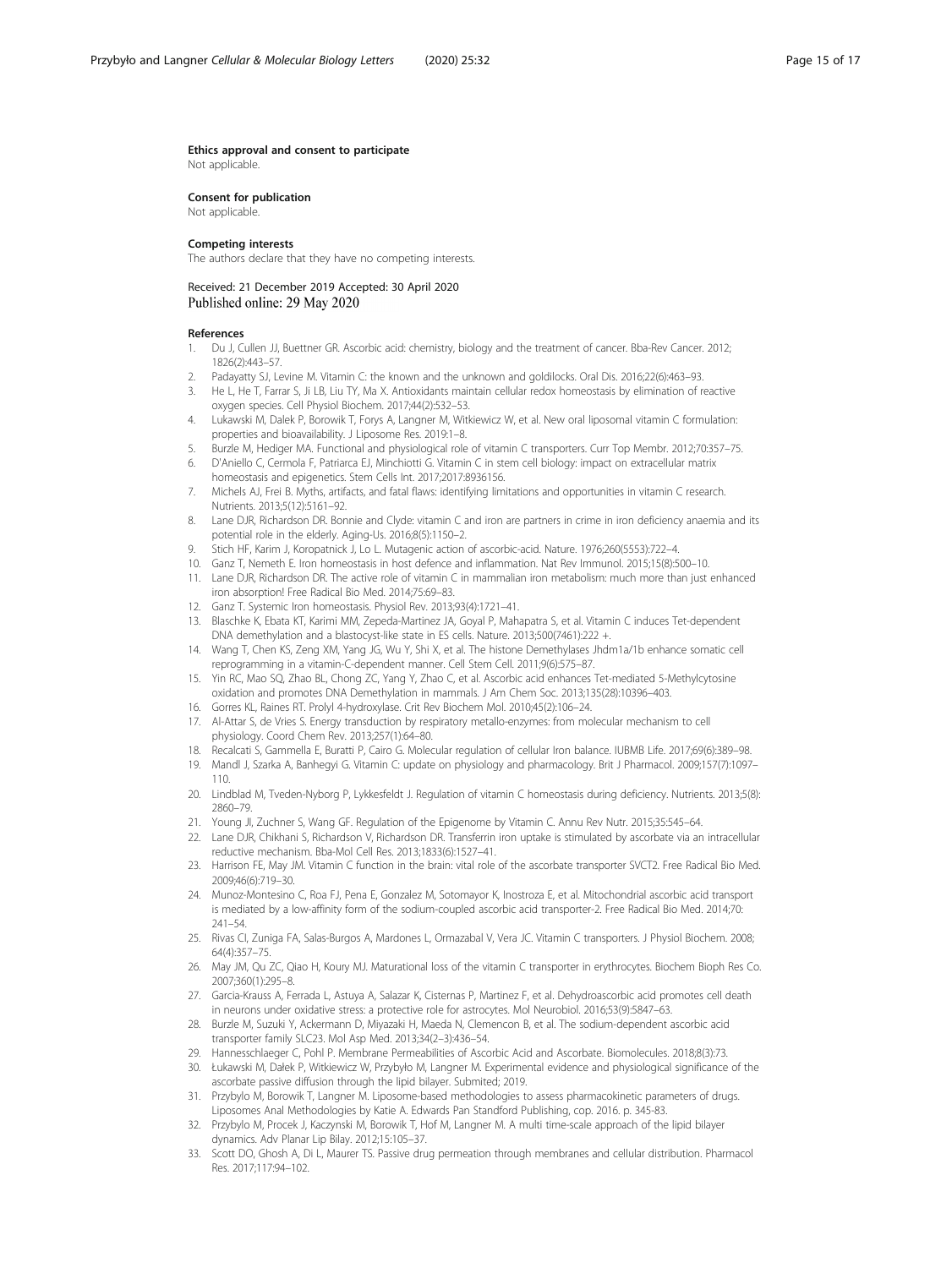<span id="page-14-0"></span>

Consent for publication Not applicable.

## Competing interests

The authors declare that they have no competing interests.

## Received: 21 December 2019 Accepted: 30 April 2020 Published online: 29 May 2020

#### References

- 1. Du J, Cullen JJ, Buettner GR. Ascorbic acid: chemistry, biology and the treatment of cancer. Bba-Rev Cancer. 2012; 1826(2):443–57.
- 2. Padayatty SJ, Levine M. Vitamin C: the known and the unknown and goldilocks. Oral Dis. 2016;22(6):463–93.
- 3. He L, He T, Farrar S, Ji LB, Liu TY, Ma X. Antioxidants maintain cellular redox homeostasis by elimination of reactive oxygen species. Cell Physiol Biochem. 2017;44(2):532–53.
- 4. Lukawski M, Dalek P, Borowik T, Forys A, Langner M, Witkiewicz W, et al. New oral liposomal vitamin C formulation: properties and bioavailability. J Liposome Res. 2019:1–8.
- 5. Burzle M, Hediger MA. Functional and physiological role of vitamin C transporters. Curr Top Membr. 2012;70:357–75.
- 6. D'Aniello C, Cermola F, Patriarca EJ, Minchiotti G. Vitamin C in stem cell biology: impact on extracellular matrix homeostasis and epigenetics. Stem Cells Int. 2017;2017:8936156.
- 7. Michels AJ, Frei B. Myths, artifacts, and fatal flaws: identifying limitations and opportunities in vitamin C research. Nutrients. 2013;5(12):5161–92.
- 8. Lane DJR, Richardson DR. Bonnie and Clyde: vitamin C and iron are partners in crime in iron deficiency anaemia and its potential role in the elderly. Aging-Us. 2016;8(5):1150–2.
- 9. Stich HF, Karim J, Koropatnick J, Lo L. Mutagenic action of ascorbic-acid. Nature. 1976;260(5553):722–4.
- 10. Ganz T, Nemeth E. Iron homeostasis in host defence and inflammation. Nat Rev Immunol. 2015;15(8):500–10.
- 11. Lane DJR, Richardson DR. The active role of vitamin C in mammalian iron metabolism: much more than just enhanced iron absorption! Free Radical Bio Med. 2014;75:69–83.
- 12. Ganz T. Systemic Iron homeostasis. Physiol Rev. 2013;93(4):1721–41.
- 13. Blaschke K, Ebata KT, Karimi MM, Zepeda-Martinez JA, Goyal P, Mahapatra S, et al. Vitamin C induces Tet-dependent DNA demethylation and a blastocyst-like state in ES cells. Nature. 2013;500(7461):222 +.
- 14. Wang T, Chen KS, Zeng XM, Yang JG, Wu Y, Shi X, et al. The histone Demethylases Jhdm1a/1b enhance somatic cell reprogramming in a vitamin-C-dependent manner. Cell Stem Cell. 2011;9(6):575–87.
- 15. Yin RC, Mao SQ, Zhao BL, Chong ZC, Yang Y, Zhao C, et al. Ascorbic acid enhances Tet-mediated 5-Methylcytosine oxidation and promotes DNA Demethylation in mammals. J Am Chem Soc. 2013;135(28):10396–403.
- 16. Gorres KL, Raines RT. Prolyl 4-hydroxylase. Crit Rev Biochem Mol. 2010;45(2):106–24.
- 17. Al-Attar S, de Vries S. Energy transduction by respiratory metallo-enzymes: from molecular mechanism to cell physiology. Coord Chem Rev. 2013;257(1):64–80.
- 18. Recalcati S, Gammella E, Buratti P, Cairo G. Molecular regulation of cellular Iron balance. IUBMB Life. 2017;69(6):389–98.
- 19. Mandl J, Szarka A, Banhegyi G. Vitamin C: update on physiology and pharmacology. Brit J Pharmacol. 2009;157(7):1097– 110.
- 20. Lindblad M, Tveden-Nyborg P, Lykkesfeldt J. Regulation of vitamin C homeostasis during deficiency. Nutrients. 2013;5(8): 2860–79.
- 21. Young JI, Zuchner S, Wang GF. Regulation of the Epigenome by Vitamin C. Annu Rev Nutr. 2015;35:545–64.
- 22. Lane DJR, Chikhani S, Richardson V, Richardson DR. Transferrin iron uptake is stimulated by ascorbate via an intracellular reductive mechanism. Bba-Mol Cell Res. 2013;1833(6):1527–41.
- 23. Harrison FE, May JM. Vitamin C function in the brain: vital role of the ascorbate transporter SVCT2. Free Radical Bio Med. 2009;46(6):719–30.
- 24. Munoz-Montesino C, Roa FJ, Pena E, Gonzalez M, Sotomayor K, Inostroza E, et al. Mitochondrial ascorbic acid transport is mediated by a low-affinity form of the sodium-coupled ascorbic acid transporter-2. Free Radical Bio Med. 2014;70: 241–54.
- 25. Rivas CI, Zuniga FA, Salas-Burgos A, Mardones L, Ormazabal V, Vera JC. Vitamin C transporters. J Physiol Biochem. 2008; 64(4):357–75.
- 26. May JM, Qu ZC, Qiao H, Koury MJ. Maturational loss of the vitamin C transporter in erythrocytes. Biochem Bioph Res Co. 2007;360(1):295–8.
- 27. Garcia-Krauss A, Ferrada L, Astuya A, Salazar K, Cisternas P, Martinez F, et al. Dehydroascorbic acid promotes cell death in neurons under oxidative stress: a protective role for astrocytes. Mol Neurobiol. 2016;53(9):5847–63.
- 28. Burzle M, Suzuki Y, Ackermann D, Miyazaki H, Maeda N, Clemencon B, et al. The sodium-dependent ascorbic acid transporter family SLC23. Mol Asp Med. 2013;34(2–3):436–54.
- 29. Hannesschlaeger C, Pohl P. Membrane Permeabilities of Ascorbic Acid and Ascorbate. Biomolecules. 2018;8(3):73.
- 30. Łukawski M, Dałek P, Witkiewicz W, Przybyło M, Langner M. Experimental evidence and physiological significance of the ascorbate passive diffusion through the lipid bilayer. Submited; 2019.
- 31. Przybylo M, Borowik T, Langner M. Liposome-based methodologies to assess pharmacokinetic parameters of drugs. Liposomes Anal Methodologies by Katie A. Edwards Pan Standford Publishing, cop. 2016. p. 345-83.
- 32. Przybylo M, Procek J, Kaczynski M, Borowik T, Hof M, Langner M. A multi time-scale approach of the lipid bilayer dynamics. Adv Planar Lip Bilay. 2012;15:105–37.
- 33. Scott DO, Ghosh A, Di L, Maurer TS. Passive drug permeation through membranes and cellular distribution. Pharmacol Res. 2017;117:94–102.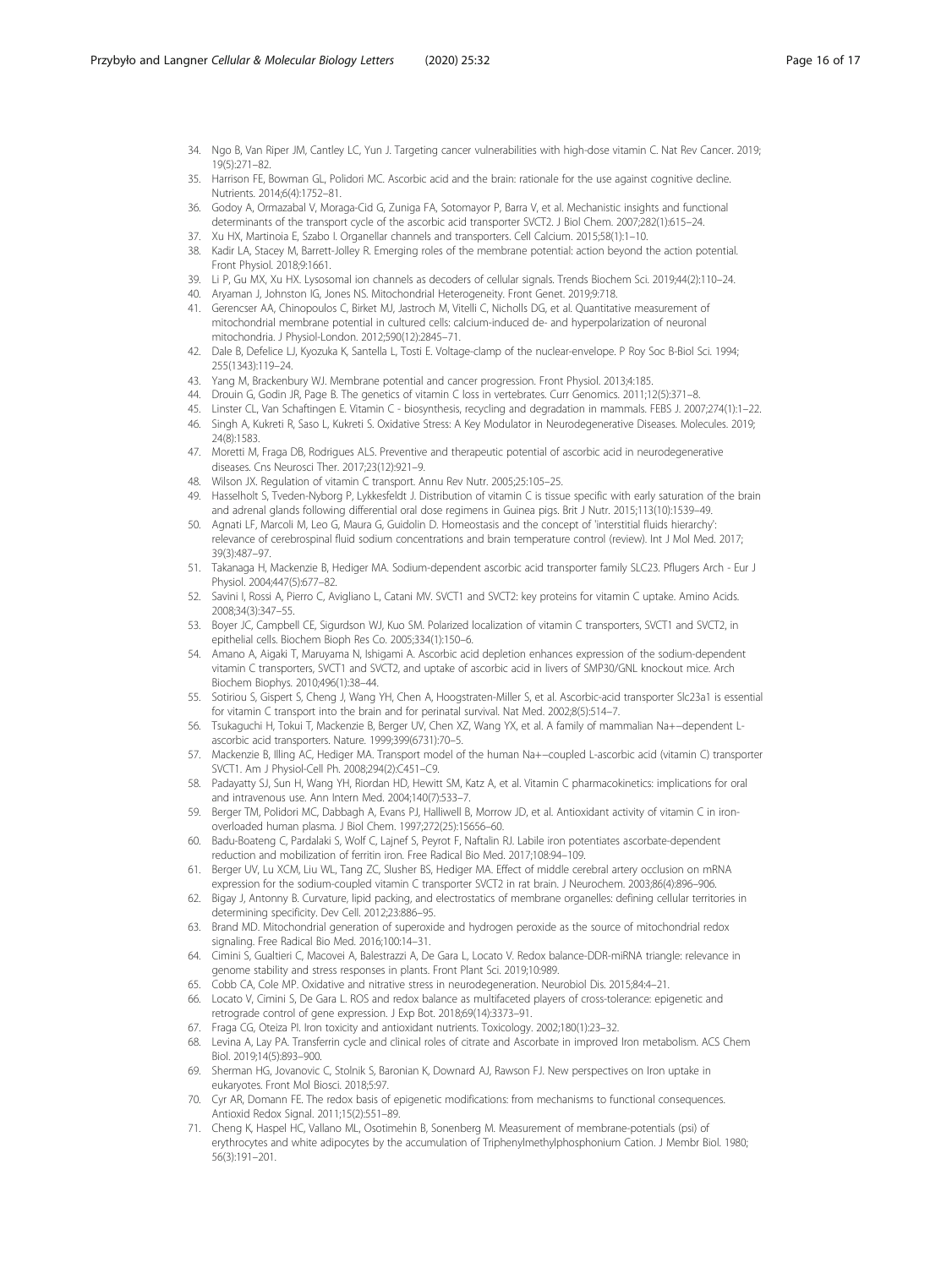- <span id="page-15-0"></span>34. Ngo B, Van Riper JM, Cantley LC, Yun J. Targeting cancer vulnerabilities with high-dose vitamin C. Nat Rev Cancer. 2019; 19(5):271–82.
- 35. Harrison FE, Bowman GL, Polidori MC. Ascorbic acid and the brain: rationale for the use against cognitive decline. Nutrients. 2014;6(4):1752–81.
- 36. Godoy A, Ormazabal V, Moraga-Cid G, Zuniga FA, Sotomayor P, Barra V, et al. Mechanistic insights and functional determinants of the transport cycle of the ascorbic acid transporter SVCT2. J Biol Chem. 2007;282(1):615–24.
- 37. Xu HX, Martinoia E, Szabo I. Organellar channels and transporters. Cell Calcium. 2015;58(1):1–10.
- 38. Kadir LA, Stacey M, Barrett-Jolley R. Emerging roles of the membrane potential: action beyond the action potential. Front Physiol. 2018;9:1661.
- 39. Li P, Gu MX, Xu HX. Lysosomal ion channels as decoders of cellular signals. Trends Biochem Sci. 2019;44(2):110–24.
- 40. Aryaman J, Johnston IG, Jones NS. Mitochondrial Heterogeneity. Front Genet. 2019;9:718.
- 41. Gerencser AA, Chinopoulos C, Birket MJ, Jastroch M, Vitelli C, Nicholls DG, et al. Quantitative measurement of mitochondrial membrane potential in cultured cells: calcium-induced de- and hyperpolarization of neuronal mitochondria. J Physiol-London. 2012;590(12):2845–71.
- 42. Dale B, Defelice LJ, Kyozuka K, Santella L, Tosti E. Voltage-clamp of the nuclear-envelope. P Roy Soc B-Biol Sci. 1994; 255(1343):119–24.
- 43. Yang M, Brackenbury WJ. Membrane potential and cancer progression. Front Physiol. 2013;4:185.
- 44. Drouin G, Godin JR, Page B. The genetics of vitamin C loss in vertebrates. Curr Genomics. 2011;12(5):371–8.
- 45. Linster CL, Van Schaftingen E. Vitamin C biosynthesis, recycling and degradation in mammals. FEBS J. 2007;274(1):1–22.
- 46. Singh A, Kukreti R, Saso L, Kukreti S. Oxidative Stress: A Key Modulator in Neurodegenerative Diseases. Molecules. 2019; 24(8):1583.
- 47. Moretti M, Fraga DB, Rodrigues ALS. Preventive and therapeutic potential of ascorbic acid in neurodegenerative diseases. Cns Neurosci Ther. 2017;23(12):921–9.
- 48. Wilson JX. Regulation of vitamin C transport. Annu Rev Nutr. 2005;25:105–25.
- 49. Hasselholt S, Tveden-Nyborg P, Lykkesfeldt J. Distribution of vitamin C is tissue specific with early saturation of the brain and adrenal glands following differential oral dose regimens in Guinea pigs. Brit J Nutr. 2015;113(10):1539–49.
- 50. Agnati LF, Marcoli M, Leo G, Maura G, Guidolin D. Homeostasis and the concept of 'interstitial fluids hierarchy': relevance of cerebrospinal fluid sodium concentrations and brain temperature control (review). Int J Mol Med. 2017; 39(3):487–97.
- 51. Takanaga H, Mackenzie B, Hediger MA. Sodium-dependent ascorbic acid transporter family SLC23. Pflugers Arch Eur J Physiol. 2004;447(5):677–82.
- 52. Savini I, Rossi A, Pierro C, Avigliano L, Catani MV. SVCT1 and SVCT2: key proteins for vitamin C uptake. Amino Acids. 2008;34(3):347–55.
- 53. Boyer JC, Campbell CE, Sigurdson WJ, Kuo SM. Polarized localization of vitamin C transporters, SVCT1 and SVCT2, in epithelial cells. Biochem Bioph Res Co. 2005;334(1):150–6.
- 54. Amano A, Aigaki T, Maruyama N, Ishigami A. Ascorbic acid depletion enhances expression of the sodium-dependent vitamin C transporters, SVCT1 and SVCT2, and uptake of ascorbic acid in livers of SMP30/GNL knockout mice. Arch Biochem Biophys. 2010;496(1):38–44.
- 55. Sotiriou S, Gispert S, Cheng J, Wang YH, Chen A, Hoogstraten-Miller S, et al. Ascorbic-acid transporter Slc23a1 is essential for vitamin C transport into the brain and for perinatal survival. Nat Med. 2002;8(5):514–7.
- 56. Tsukaguchi H, Tokui T, Mackenzie B, Berger UV, Chen XZ, Wang YX, et al. A family of mammalian Na+−dependent Lascorbic acid transporters. Nature. 1999;399(6731):70–5.
- 57. Mackenzie B, Illing AC, Hediger MA. Transport model of the human Na+−coupled L-ascorbic acid (vitamin C) transporter SVCT1. Am J Physiol-Cell Ph. 2008;294(2):C451–C9.
- 58. Padayatty SJ, Sun H, Wang YH, Riordan HD, Hewitt SM, Katz A, et al. Vitamin C pharmacokinetics: implications for oral and intravenous use. Ann Intern Med. 2004;140(7):533–7.
- 59. Berger TM, Polidori MC, Dabbagh A, Evans PJ, Halliwell B, Morrow JD, et al. Antioxidant activity of vitamin C in ironoverloaded human plasma. J Biol Chem. 1997;272(25):15656–60.
- 60. Badu-Boateng C, Pardalaki S, Wolf C, Lajnef S, Peyrot F, Naftalin RJ. Labile iron potentiates ascorbate-dependent reduction and mobilization of ferritin iron. Free Radical Bio Med. 2017;108:94–109.
- 61. Berger UV, Lu XCM, Liu WL, Tang ZC, Slusher BS, Hediger MA. Effect of middle cerebral artery occlusion on mRNA expression for the sodium-coupled vitamin C transporter SVCT2 in rat brain. J Neurochem. 2003;86(4):896–906.
- 62. Bigay J, Antonny B. Curvature, lipid packing, and electrostatics of membrane organelles: defining cellular territories in determining specificity. Dev Cell. 2012;23:886–95.
- 63. Brand MD. Mitochondrial generation of superoxide and hydrogen peroxide as the source of mitochondrial redox signaling. Free Radical Bio Med. 2016;100:14–31.
- 64. Cimini S, Gualtieri C, Macovei A, Balestrazzi A, De Gara L, Locato V. Redox balance-DDR-miRNA triangle: relevance in genome stability and stress responses in plants. Front Plant Sci. 2019;10:989.
- 65. Cobb CA, Cole MP. Oxidative and nitrative stress in neurodegeneration. Neurobiol Dis. 2015;84:4–21.
- 66. Locato V, Cimini S, De Gara L. ROS and redox balance as multifaceted players of cross-tolerance: epigenetic and retrograde control of gene expression. J Exp Bot. 2018;69(14):3373–91.
- 67. Fraga CG, Oteiza PI. Iron toxicity and antioxidant nutrients. Toxicology. 2002;180(1):23–32.
- 68. Levina A, Lay PA. Transferrin cycle and clinical roles of citrate and Ascorbate in improved Iron metabolism. ACS Chem Biol. 2019;14(5):893–900.
- 69. Sherman HG, Jovanovic C, Stolnik S, Baronian K, Downard AJ, Rawson FJ. New perspectives on Iron uptake in eukaryotes. Front Mol Biosci. 2018;5:97.
- 70. Cyr AR, Domann FE. The redox basis of epigenetic modifications: from mechanisms to functional consequences. Antioxid Redox Signal. 2011;15(2):551–89.
- 71. Cheng K, Haspel HC, Vallano ML, Osotimehin B, Sonenberg M. Measurement of membrane-potentials (psi) of erythrocytes and white adipocytes by the accumulation of Triphenylmethylphosphonium Cation. J Membr Biol. 1980; 56(3):191–201.